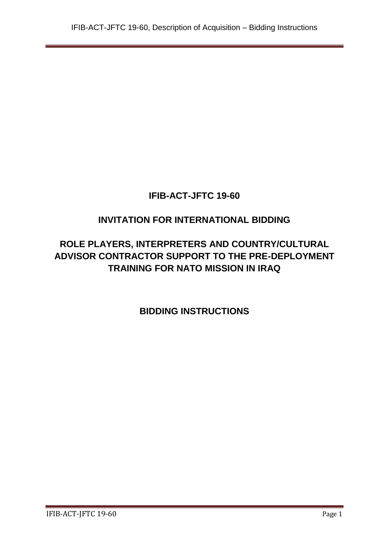# **INVITATION FOR INTERNATIONAL BIDDING**

# **ROLE PLAYERS, INTERPRETERS AND COUNTRY/CULTURAL ADVISOR CONTRACTOR SUPPORT TO THE PRE-DEPLOYMENT TRAINING FOR NATO MISSION IN IRAQ**

**BIDDING INSTRUCTIONS**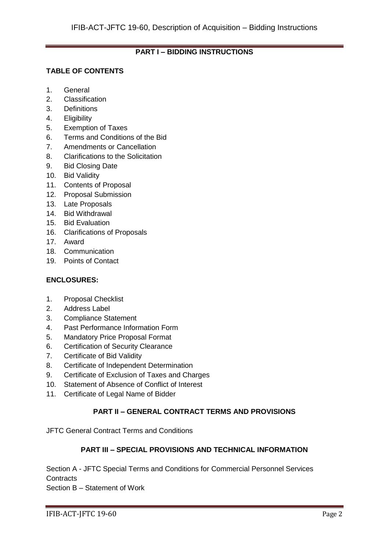# **PART I – BIDDING INSTRUCTIONS**

# **TABLE OF CONTENTS**

- 1. General
- 2. Classification
- 3. Definitions
- 4. Eligibility
- 5. Exemption of Taxes
- 6. Terms and Conditions of the Bid
- 7. Amendments or Cancellation
- 8. Clarifications to the Solicitation
- 9. Bid Closing Date
- 10. Bid Validity
- 11. Contents of Proposal
- 12. Proposal Submission
- 13. Late Proposals
- 14. Bid Withdrawal
- 15. Bid Evaluation
- 16. Clarifications of Proposals
- 17. Award
- 18. Communication
- 19. Points of Contact

# **ENCLOSURES:**

- 1. Proposal Checklist
- 2. Address Label
- 3. Compliance Statement
- 4. Past Performance Information Form
- 5. Mandatory Price Proposal Format
- 6. Certification of Security Clearance
- 7. Certificate of Bid Validity
- 8. Certificate of Independent Determination
- 9. Certificate of Exclusion of Taxes and Charges
- 10. Statement of Absence of Conflict of Interest
- 11. Certificate of Legal Name of Bidder

# **PART II – GENERAL CONTRACT TERMS AND PROVISIONS**

JFTC General Contract Terms and Conditions

# **PART III – SPECIAL PROVISIONS AND TECHNICAL INFORMATION**

Section A - JFTC Special Terms and Conditions for Commercial Personnel Services **Contracts** 

Section B – Statement of Work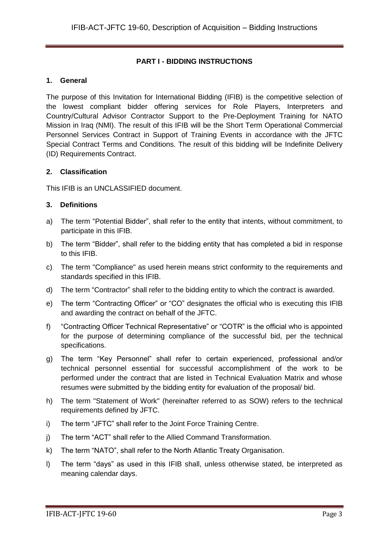# **PART I - BIDDING INSTRUCTIONS**

### **1. General**

The purpose of this Invitation for International Bidding (IFIB) is the competitive selection of the lowest compliant bidder offering services for Role Players, Interpreters and Country/Cultural Advisor Contractor Support to the Pre-Deployment Training for NATO Mission in Iraq (NMI). The result of this IFIB will be the Short Term Operational Commercial Personnel Services Contract in Support of Training Events in accordance with the JFTC Special Contract Terms and Conditions. The result of this bidding will be Indefinite Delivery (ID) Requirements Contract.

### **2. Classification**

This IFIB is an UNCLASSIFIED document.

### **3. Definitions**

- a) The term "Potential Bidder", shall refer to the entity that intents, without commitment, to participate in this IFIB.
- b) The term "Bidder", shall refer to the bidding entity that has completed a bid in response to this IFIB.
- c) The term "Compliance" as used herein means strict conformity to the requirements and standards specified in this IFIB.
- d) The term "Contractor" shall refer to the bidding entity to which the contract is awarded.
- e) The term "Contracting Officer" or "CO" designates the official who is executing this IFIB and awarding the contract on behalf of the JFTC.
- f) "Contracting Officer Technical Representative" or "COTR" is the official who is appointed for the purpose of determining compliance of the successful bid, per the technical specifications.
- g) The term "Key Personnel" shall refer to certain experienced, professional and/or technical personnel essential for successful accomplishment of the work to be performed under the contract that are listed in Technical Evaluation Matrix and whose resumes were submitted by the bidding entity for evaluation of the proposal/ bid.
- h) The term "Statement of Work" (hereinafter referred to as SOW) refers to the technical requirements defined by JFTC.
- i) The term "JFTC" shall refer to the Joint Force Training Centre.
- j) The term "ACT" shall refer to the Allied Command Transformation.
- k) The term "NATO", shall refer to the North Atlantic Treaty Organisation.
- l) The term "days" as used in this IFIB shall, unless otherwise stated, be interpreted as meaning calendar days.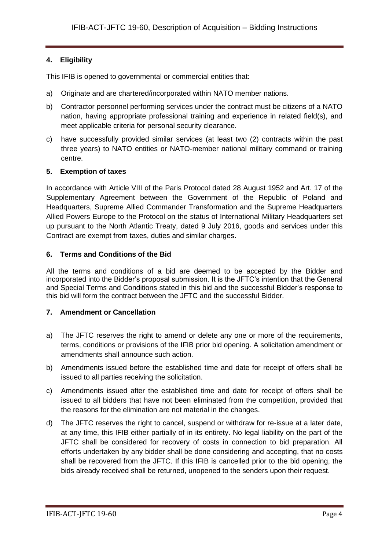# **4. Eligibility**

This IFIB is opened to governmental or commercial entities that:

- a) Originate and are chartered/incorporated within NATO member nations.
- b) Contractor personnel performing services under the contract must be citizens of a NATO nation, having appropriate professional training and experience in related field(s), and meet applicable criteria for personal security clearance.
- c) have successfully provided similar services (at least two (2) contracts within the past three years) to NATO entities or NATO-member national military command or training centre.

### **5. Exemption of taxes**

In accordance with Article VIII of the Paris Protocol dated 28 August 1952 and Art. 17 of the Supplementary Agreement between the Government of the Republic of Poland and Headquarters, Supreme Allied Commander Transformation and the Supreme Headquarters Allied Powers Europe to the Protocol on the status of International Military Headquarters set up pursuant to the North Atlantic Treaty, dated 9 July 2016, goods and services under this Contract are exempt from taxes, duties and similar charges.

### **6. Terms and Conditions of the Bid**

All the terms and conditions of a bid are deemed to be accepted by the Bidder and incorporated into the Bidder's proposal submission. It is the JFTC's intention that the General and Special Terms and Conditions stated in this bid and the successful Bidder's response to this bid will form the contract between the JFTC and the successful Bidder.

#### **7. Amendment or Cancellation**

- a) The JFTC reserves the right to amend or delete any one or more of the requirements, terms, conditions or provisions of the IFIB prior bid opening. A solicitation amendment or amendments shall announce such action.
- b) Amendments issued before the established time and date for receipt of offers shall be issued to all parties receiving the solicitation.
- c) Amendments issued after the established time and date for receipt of offers shall be issued to all bidders that have not been eliminated from the competition, provided that the reasons for the elimination are not material in the changes.
- d) The JFTC reserves the right to cancel, suspend or withdraw for re-issue at a later date, at any time, this IFIB either partially of in its entirety. No legal liability on the part of the JFTC shall be considered for recovery of costs in connection to bid preparation. All efforts undertaken by any bidder shall be done considering and accepting, that no costs shall be recovered from the JFTC. If this IFIB is cancelled prior to the bid opening, the bids already received shall be returned, unopened to the senders upon their request.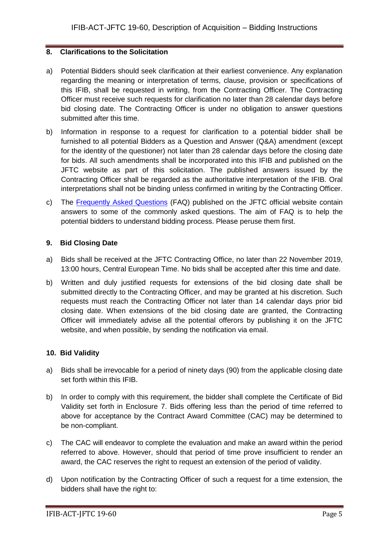### **8. Clarifications to the Solicitation**

- a) Potential Bidders should seek clarification at their earliest convenience. Any explanation regarding the meaning or interpretation of terms, clause, provision or specifications of this IFIB, shall be requested in writing, from the Contracting Officer. The Contracting Officer must receive such requests for clarification no later than 28 calendar days before bid closing date. The Contracting Officer is under no obligation to answer questions submitted after this time.
- b) Information in response to a request for clarification to a potential bidder shall be furnished to all potential Bidders as a Question and Answer (Q&A) amendment (except for the identity of the questioner) not later than 28 calendar days before the closing date for bids. All such amendments shall be incorporated into this IFIB and published on the JFTC website as part of this solicitation. The published answers issued by the Contracting Officer shall be regarded as the authoritative interpretation of the IFIB. Oral interpretations shall not be binding unless confirmed in writing by the Contracting Officer.
- c) The [Frequently Asked Questions](http://www.jftc.nato.int/organization/contracting) (FAQ) published on the JFTC official website contain answers to some of the commonly asked questions. The aim of FAQ is to help the potential bidders to understand bidding process. Please peruse them first.

### **9. Bid Closing Date**

- a) Bids shall be received at the JFTC Contracting Office, no later than 22 November 2019, 13:00 hours, Central European Time. No bids shall be accepted after this time and date.
- b) Written and duly justified requests for extensions of the bid closing date shall be submitted directly to the Contracting Officer, and may be granted at his discretion. Such requests must reach the Contracting Officer not later than 14 calendar days prior bid closing date. When extensions of the bid closing date are granted, the Contracting Officer will immediately advise all the potential offerors by publishing it on the JFTC website, and when possible, by sending the notification via email.

# **10. Bid Validity**

- a) Bids shall be irrevocable for a period of ninety days (90) from the applicable closing date set forth within this IFIB.
- b) In order to comply with this requirement, the bidder shall complete the Certificate of Bid Validity set forth in Enclosure 7. Bids offering less than the period of time referred to above for acceptance by the Contract Award Committee (CAC) may be determined to be non-compliant.
- c) The CAC will endeavor to complete the evaluation and make an award within the period referred to above. However, should that period of time prove insufficient to render an award, the CAC reserves the right to request an extension of the period of validity.
- d) Upon notification by the Contracting Officer of such a request for a time extension, the bidders shall have the right to: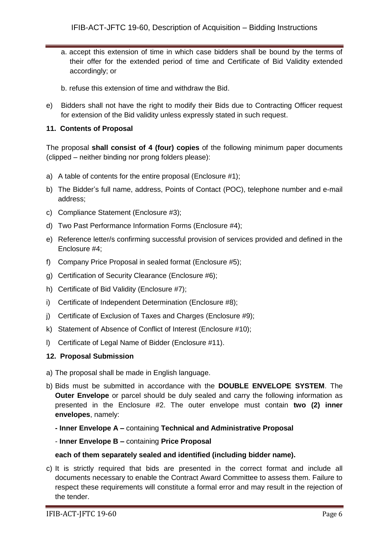- a. accept this extension of time in which case bidders shall be bound by the terms of their offer for the extended period of time and Certificate of Bid Validity extended accordingly; or
- b. refuse this extension of time and withdraw the Bid.
- e) Bidders shall not have the right to modify their Bids due to Contracting Officer request for extension of the Bid validity unless expressly stated in such request.

# **11. Contents of Proposal**

The proposal **shall consist of 4 (four) copies** of the following minimum paper documents (clipped – neither binding nor prong folders please):

- a) A table of contents for the entire proposal (Enclosure #1);
- b) The Bidder's full name, address, Points of Contact (POC), telephone number and e-mail address;
- c) Compliance Statement (Enclosure #3);
- d) Two Past Performance Information Forms (Enclosure #4);
- e) Reference letter/s confirming successful provision of services provided and defined in the Enclosure #4;
- f) Company Price Proposal in sealed format (Enclosure #5);
- g) Certification of Security Clearance (Enclosure #6);
- h) Certificate of Bid Validity (Enclosure #7);
- i) Certificate of Independent Determination (Enclosure #8);
- j) Certificate of Exclusion of Taxes and Charges (Enclosure #9);
- k) Statement of Absence of Conflict of Interest (Enclosure #10);
- l) Certificate of Legal Name of Bidder (Enclosure #11).

#### **12. Proposal Submission**

- a) The proposal shall be made in English language.
- b) Bids must be submitted in accordance with the **DOUBLE ENVELOPE SYSTEM**. The **Outer Envelope** or parcel should be duly sealed and carry the following information as presented in the Enclosure #2. The outer envelope must contain **two (2) inner envelopes**, namely:
	- **- Inner Envelope A –** containing **Technical and Administrative Proposal**

#### - **Inner Envelope B –** containing **Price Proposal**

#### **each of them separately sealed and identified (including bidder name).**

c) It is strictly required that bids are presented in the correct format and include all documents necessary to enable the Contract Award Committee to assess them. Failure to respect these requirements will constitute a formal error and may result in the rejection of the tender.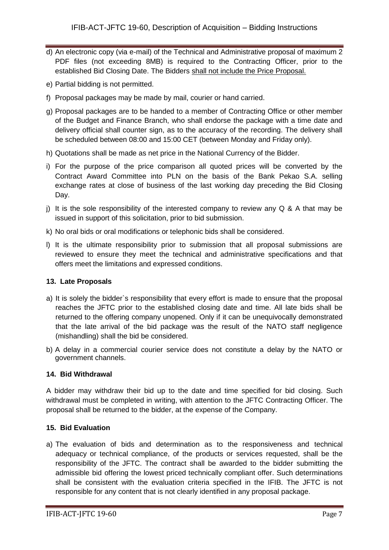- d) An electronic copy (via e-mail) of the Technical and Administrative proposal of maximum 2 PDF files (not exceeding 8MB) is required to the Contracting Officer, prior to the established Bid Closing Date. The Bidders shall not include the Price Proposal.
- e) Partial bidding is not permitted.
- f) Proposal packages may be made by mail, courier or hand carried.
- g) Proposal packages are to be handed to a member of Contracting Office or other member of the Budget and Finance Branch, who shall endorse the package with a time date and delivery official shall counter sign, as to the accuracy of the recording. The delivery shall be scheduled between 08:00 and 15:00 CET (between Monday and Friday only).
- h) Quotations shall be made as net price in the National Currency of the Bidder.
- i) For the purpose of the price comparison all quoted prices will be converted by the Contract Award Committee into PLN on the basis of the Bank Pekao S.A. selling exchange rates at close of business of the last working day preceding the Bid Closing Day.
- j) It is the sole responsibility of the interested company to review any  $Q \& A$  that may be issued in support of this solicitation, prior to bid submission.
- k) No oral bids or oral modifications or telephonic bids shall be considered.
- l) It is the ultimate responsibility prior to submission that all proposal submissions are reviewed to ensure they meet the technical and administrative specifications and that offers meet the limitations and expressed conditions.

# **13. Late Proposals**

- a) It is solely the bidder`s responsibility that every effort is made to ensure that the proposal reaches the JFTC prior to the established closing date and time. All late bids shall be returned to the offering company unopened. Only if it can be unequivocally demonstrated that the late arrival of the bid package was the result of the NATO staff negligence (mishandling) shall the bid be considered.
- b) A delay in a commercial courier service does not constitute a delay by the NATO or government channels.

# **14. Bid Withdrawal**

A bidder may withdraw their bid up to the date and time specified for bid closing. Such withdrawal must be completed in writing, with attention to the JFTC Contracting Officer. The proposal shall be returned to the bidder, at the expense of the Company.

# **15. Bid Evaluation**

a) The evaluation of bids and determination as to the responsiveness and technical adequacy or technical compliance, of the products or services requested, shall be the responsibility of the JFTC. The contract shall be awarded to the bidder submitting the admissible bid offering the lowest priced technically compliant offer. Such determinations shall be consistent with the evaluation criteria specified in the IFIB. The JFTC is not responsible for any content that is not clearly identified in any proposal package.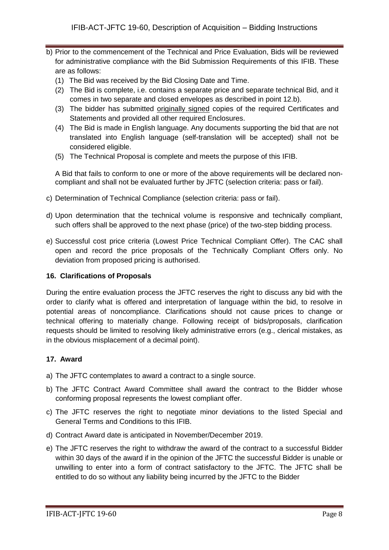- b) Prior to the commencement of the Technical and Price Evaluation, Bids will be reviewed for administrative compliance with the Bid Submission Requirements of this IFIB. These are as follows:
	- (1) The Bid was received by the Bid Closing Date and Time.
	- (2) The Bid is complete, i.e. contains a separate price and separate technical Bid, and it comes in two separate and closed envelopes as described in point 12.b).
	- (3) The bidder has submitted originally signed copies of the required Certificates and Statements and provided all other required Enclosures.
	- (4) The Bid is made in English language. Any documents supporting the bid that are not translated into English language (self-translation will be accepted) shall not be considered eligible.
	- (5) The Technical Proposal is complete and meets the purpose of this IFIB.

A Bid that fails to conform to one or more of the above requirements will be declared noncompliant and shall not be evaluated further by JFTC (selection criteria: pass or fail).

- c) Determination of Technical Compliance (selection criteria: pass or fail).
- d) Upon determination that the technical volume is responsive and technically compliant, such offers shall be approved to the next phase (price) of the two-step bidding process.
- e) Successful cost price criteria (Lowest Price Technical Compliant Offer). The CAC shall open and record the price proposals of the Technically Compliant Offers only. No deviation from proposed pricing is authorised.

#### **16. Clarifications of Proposals**

During the entire evaluation process the JFTC reserves the right to discuss any bid with the order to clarify what is offered and interpretation of language within the bid, to resolve in potential areas of noncompliance. Clarifications should not cause prices to change or technical offering to materially change. Following receipt of bids/proposals, clarification requests should be limited to resolving likely administrative errors (e.g., clerical mistakes, as in the obvious misplacement of a decimal point).

# **17. Award**

- a) The JFTC contemplates to award a contract to a single source.
- b) The JFTC Contract Award Committee shall award the contract to the Bidder whose conforming proposal represents the lowest compliant offer.
- c) The JFTC reserves the right to negotiate minor deviations to the listed Special and General Terms and Conditions to this IFIB.
- d) Contract Award date is anticipated in November/December 2019.
- e) The JFTC reserves the right to withdraw the award of the contract to a successful Bidder within 30 days of the award if in the opinion of the JFTC the successful Bidder is unable or unwilling to enter into a form of contract satisfactory to the JFTC. The JFTC shall be entitled to do so without any liability being incurred by the JFTC to the Bidder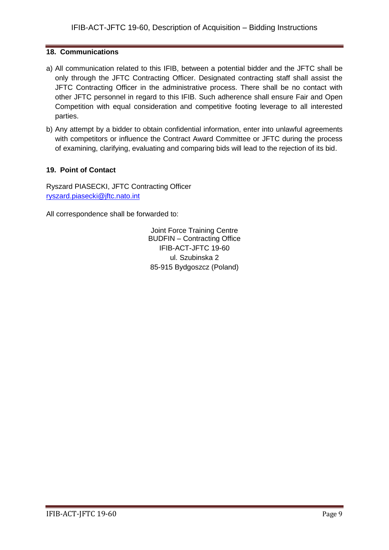# **18. Communications**

- a) All communication related to this IFIB, between a potential bidder and the JFTC shall be only through the JFTC Contracting Officer. Designated contracting staff shall assist the JFTC Contracting Officer in the administrative process. There shall be no contact with other JFTC personnel in regard to this IFIB. Such adherence shall ensure Fair and Open Competition with equal consideration and competitive footing leverage to all interested parties.
- b) Any attempt by a bidder to obtain confidential information, enter into unlawful agreements with competitors or influence the Contract Award Committee or JFTC during the process of examining, clarifying, evaluating and comparing bids will lead to the rejection of its bid.

# **19. Point of Contact**

Ryszard PIASECKI, JFTC Contracting Officer [ryszard.piasecki@jftc.nato.int](mailto:ryszard.piasecki@jftc.nato.int)

All correspondence shall be forwarded to:

Joint Force Training Centre BUDFIN – Contracting Office IFIB-ACT-JFTC 19-60 ul. Szubinska 2 85-915 Bydgoszcz (Poland)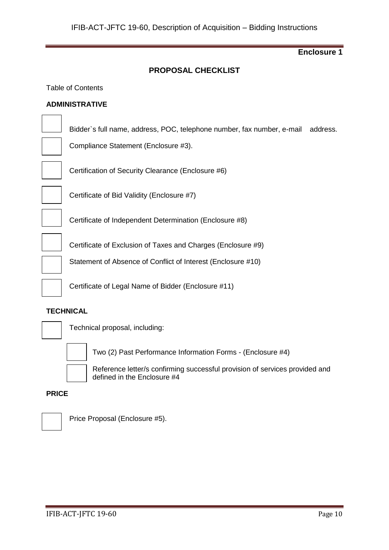# **PROPOSAL CHECKLIST**

Table of Contents

#### **ADMINISTRATIVE**

Bidder`s full name, address, POC, telephone number, fax number, e-mail address.

Compliance Statement (Enclosure #3).

Certification of Security Clearance (Enclosure #6)



Certificate of Bid Validity (Enclosure #7)

Certificate of Independent Determination (Enclosure #8)

Certificate of Exclusion of Taxes and Charges (Enclosure #9)

Statement of Absence of Conflict of Interest (Enclosure #10)

Certificate of Legal Name of Bidder (Enclosure #11)

#### **TECHNICAL**



Technical proposal, including:



Two (2) Past Performance Information Forms - (Enclosure #4)

Reference letter/s confirming successful provision of services provided and defined in the Enclosure #4

#### **PRICE**



Price Proposal (Enclosure #5).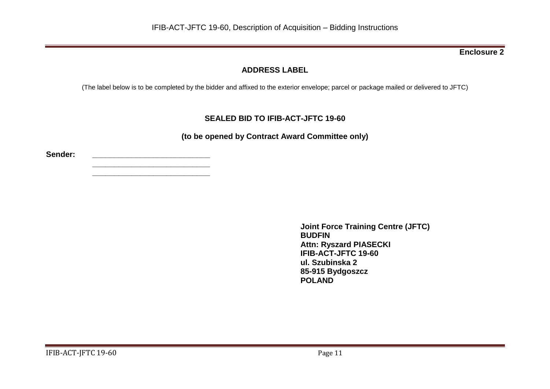# **ADDRESS LABEL**

(The label below is to be completed by the bidder and affixed to the exterior envelope; parcel or package mailed or delivered to JFTC)

# **SEALED BID TO IFIB-ACT-JFTC 19-60**

**(to be opened by Contract Award Committee only)**

**Sender: \_\_\_\_\_\_\_\_\_\_\_\_\_\_\_\_\_\_\_\_\_\_\_\_\_\_\_**

**\_\_\_\_\_\_\_\_\_\_\_\_\_\_\_\_\_\_\_\_\_\_\_\_\_\_\_ \_\_\_\_\_\_\_\_\_\_\_\_\_\_\_\_\_\_\_\_\_\_\_\_\_\_\_**

> **Joint Force Training Centre (JFTC) BUDFIN Attn: Ryszard PIASECKI IFIB-ACT-JFTC 19-60 ul. Szubinska 2 85-915 Bydgoszcz POLAND**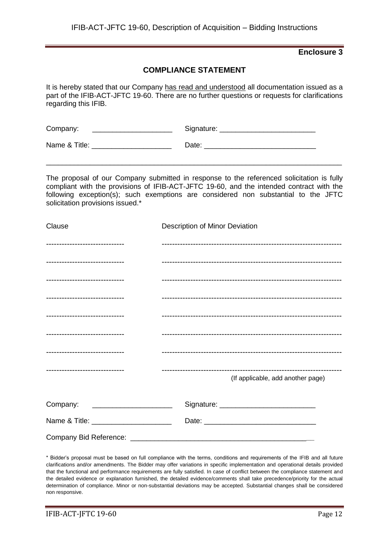# **COMPLIANCE STATEMENT**

It is hereby stated that our Company has read and understood all documentation issued as a part of the IFIB-ACT-JFTC 19-60. There are no further questions or requests for clarifications regarding this IFIB.

| Company:      | Signature: |
|---------------|------------|
| Name & Title: | Date:      |

The proposal of our Company submitted in response to the referenced solicitation is fully compliant with the provisions of IFIB-ACT-JFTC 19-60, and the intended contract with the following exception(s); such exemptions are considered non substantial to the JFTC solicitation provisions issued.\*

\_\_\_\_\_\_\_\_\_\_\_\_\_\_\_\_\_\_\_\_\_\_\_\_\_\_\_\_\_\_\_\_\_\_\_\_\_\_\_\_\_\_\_\_\_\_\_\_\_\_\_\_\_\_\_\_\_\_\_\_\_\_\_\_\_\_\_\_\_\_\_\_\_\_

| Clause                                 | Description of Minor Deviation    |
|----------------------------------------|-----------------------------------|
| -------------------------------        |                                   |
| -------------------------------        |                                   |
| -------------------------------        |                                   |
| -------------------------------        |                                   |
| -------------------------------        |                                   |
| -------------------------------        |                                   |
| -------------------------------        |                                   |
| -------------------------------        | (If applicable, add another page) |
|                                        |                                   |
| Company: ________________________      |                                   |
| Name & Title: ________________________ |                                   |
|                                        |                                   |

\* Bidder's proposal must be based on full compliance with the terms, conditions and requirements of the IFIB and all future clarifications and/or amendments. The Bidder may offer variations in specific implementation and operational details provided that the functional and performance requirements are fully satisfied. In case of conflict between the compliance statement and the detailed evidence or explanation furnished, the detailed evidence/comments shall take precedence/priority for the actual determination of compliance. Minor or non-substantial deviations may be accepted. Substantial changes shall be considered non responsive.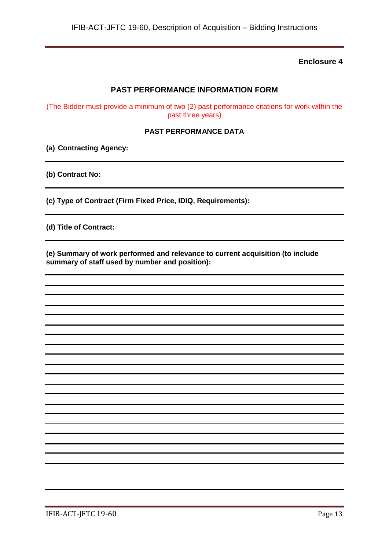# **PAST PERFORMANCE INFORMATION FORM**

(The Bidder must provide a minimum of two (2) past performance citations for work within the past three years)

#### **PAST PERFORMANCE DATA**

**(a) Contracting Agency:**

**(b) Contract No:**

**(c) Type of Contract (Firm Fixed Price, IDIQ, Requirements):**

**(d) Title of Contract:**

**(e) Summary of work performed and relevance to current acquisition (to include summary of staff used by number and position):**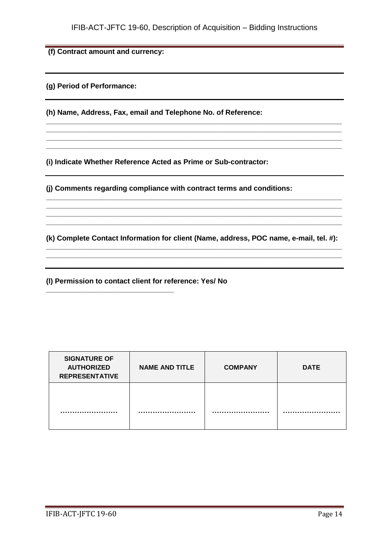**\_\_\_\_\_\_\_\_\_\_\_\_\_\_\_\_\_\_\_\_\_\_\_\_\_\_\_\_\_\_\_\_\_\_\_\_\_\_\_\_\_\_\_\_\_\_\_\_\_\_\_\_\_\_\_\_\_\_\_\_\_\_\_\_\_\_\_\_\_\_\_\_\_\_ \_\_\_\_\_\_\_\_\_\_\_\_\_\_\_\_\_\_\_\_\_\_\_\_\_\_\_\_\_\_\_\_\_\_\_\_\_\_\_\_\_\_\_\_\_\_\_\_\_\_\_\_\_\_\_\_\_\_\_\_\_\_\_\_\_\_\_\_\_\_\_\_\_\_ \_\_\_\_\_\_\_\_\_\_\_\_\_\_\_\_\_\_\_\_\_\_\_\_\_\_\_\_\_\_\_\_\_\_\_\_\_\_\_\_\_\_\_\_\_\_\_\_\_\_\_\_\_\_\_\_\_\_\_\_\_\_\_\_\_\_\_\_\_\_\_\_\_\_ \_\_\_\_\_\_\_\_\_\_\_\_\_\_\_\_\_\_\_\_\_\_\_\_\_\_\_\_\_\_\_\_\_\_\_\_\_\_\_\_\_\_\_\_\_\_\_\_\_\_\_\_\_\_\_\_\_\_\_\_\_\_\_\_\_\_\_\_\_\_\_\_\_\_**

**(f) Contract amount and currency:**

**(g) Period of Performance:**

**(h) Name, Address, Fax, email and Telephone No. of Reference:**

**(i) Indicate Whether Reference Acted as Prime or Sub-contractor:**

**(j) Comments regarding compliance with contract terms and conditions:**

**(k) Complete Contact Information for client (Name, address, POC name, e-mail, tel. #): \_\_\_\_\_\_\_\_\_\_\_\_\_\_\_\_\_\_\_\_\_\_\_\_\_\_\_\_\_\_\_\_\_\_\_\_\_\_\_\_\_\_\_\_\_\_\_\_\_\_\_\_\_\_\_\_\_\_\_\_\_\_\_\_\_\_\_\_\_\_\_\_\_\_**

**\_\_\_\_\_\_\_\_\_\_\_\_\_\_\_\_\_\_\_\_\_\_\_\_\_\_\_\_\_\_\_\_\_\_\_\_\_\_\_\_\_\_\_\_\_\_\_\_\_\_\_\_\_\_\_\_\_\_\_\_\_\_\_\_\_\_\_\_\_\_\_\_\_\_**

**\_\_\_\_\_\_\_\_\_\_\_\_\_\_\_\_\_\_\_\_\_\_\_\_\_\_\_\_\_\_\_\_\_\_\_\_\_\_\_\_\_\_\_\_\_\_\_\_\_\_\_\_\_\_\_\_\_\_\_\_\_\_\_\_\_\_\_\_\_\_\_\_\_\_ \_\_\_\_\_\_\_\_\_\_\_\_\_\_\_\_\_\_\_\_\_\_\_\_\_\_\_\_\_\_\_\_\_\_\_\_\_\_\_\_\_\_\_\_\_\_\_\_\_\_\_\_\_\_\_\_\_\_\_\_\_\_\_\_\_\_\_\_\_\_\_\_\_\_ \_\_\_\_\_\_\_\_\_\_\_\_\_\_\_\_\_\_\_\_\_\_\_\_\_\_\_\_\_\_\_\_\_\_\_\_\_\_\_\_\_\_\_\_\_\_\_\_\_\_\_\_\_\_\_\_\_\_\_\_\_\_\_\_\_\_\_\_\_\_\_\_\_\_ \_\_\_\_\_\_\_\_\_\_\_\_\_\_\_\_\_\_\_\_\_\_\_\_\_\_\_\_\_\_\_\_\_\_\_\_\_\_\_\_\_\_\_\_\_\_\_\_\_\_\_\_\_\_\_\_\_\_\_\_\_\_\_\_\_\_\_\_\_\_\_\_\_\_**

**(l) Permission to contact client for reference: Yes/ No**

**\_\_\_\_\_\_\_\_\_\_\_\_\_\_\_\_\_\_\_\_\_\_\_\_\_\_\_\_\_\_\_\_**

| <b>SIGNATURE OF</b><br><b>AUTHORIZED</b><br><b>REPRESENTATIVE</b> | <b>NAME AND TITLE</b> | <b>COMPANY</b> | <b>DATE</b> |
|-------------------------------------------------------------------|-----------------------|----------------|-------------|
|                                                                   |                       |                |             |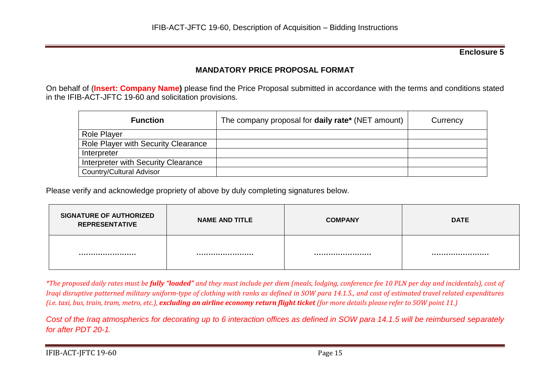# **MANDATORY PRICE PROPOSAL FORMAT**

On behalf of (**Insert: Company Name)** please find the Price Proposal submitted in accordance with the terms and conditions stated in the IFIB-ACT-JFTC 19-60 and solicitation provisions.

| <b>Function</b>                     | The company proposal for <b>daily rate</b> * (NET amount) | Currency |
|-------------------------------------|-----------------------------------------------------------|----------|
| <b>Role Player</b>                  |                                                           |          |
| Role Player with Security Clearance |                                                           |          |
| Interpreter                         |                                                           |          |
| Interpreter with Security Clearance |                                                           |          |
| <b>Country/Cultural Advisor</b>     |                                                           |          |

Please verify and acknowledge propriety of above by duly completing signatures below.

| <b>SIGNATURE OF AUTHORIZED</b><br><b>REPRESENTATIVE</b> | <b>NAME AND TITLE</b> | <b>COMPANY</b> | <b>DATE</b> |
|---------------------------------------------------------|-----------------------|----------------|-------------|
|                                                         |                       |                |             |

*\*The proposed daily rates must be fully "loaded" and they must include per diem (meals, lodging, conference fee 10 PLN per day and incidentals), cost of Iraqi disruptive patterned military uniform-type of clothing with ranks as defined in SOW para 14.1.5., and cost of estimated travel related expenditures (i.e. taxi, bus, train, tram, metro, etc.), excluding an airline economy return flight ticket (for more details please refer to SOW point 11.)*

*Cost of the Iraq atmospherics for decorating up to 6 interaction offices as defined in SOW para 14.1.5 will be reimbursed separately for after PDT 20-1.*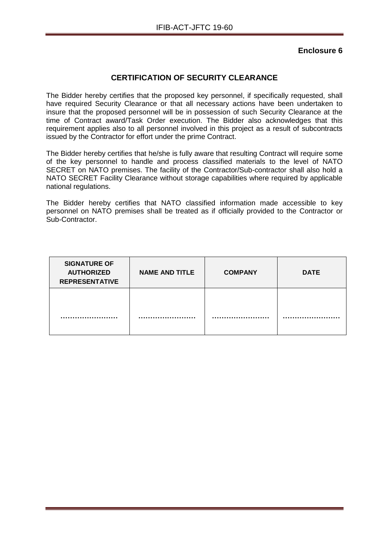# **CERTIFICATION OF SECURITY CLEARANCE**

The Bidder hereby certifies that the proposed key personnel, if specifically requested, shall have required Security Clearance or that all necessary actions have been undertaken to insure that the proposed personnel will be in possession of such Security Clearance at the time of Contract award/Task Order execution. The Bidder also acknowledges that this requirement applies also to all personnel involved in this project as a result of subcontracts issued by the Contractor for effort under the prime Contract.

The Bidder hereby certifies that he/she is fully aware that resulting Contract will require some of the key personnel to handle and process classified materials to the level of NATO SECRET on NATO premises. The facility of the Contractor/Sub-contractor shall also hold a NATO SECRET Facility Clearance without storage capabilities where required by applicable national regulations.

The Bidder hereby certifies that NATO classified information made accessible to key personnel on NATO premises shall be treated as if officially provided to the Contractor or Sub-Contractor.

| <b>SIGNATURE OF</b><br><b>AUTHORIZED</b><br><b>REPRESENTATIVE</b> | <b>NAME AND TITLE</b> | <b>COMPANY</b> | <b>DATE</b> |
|-------------------------------------------------------------------|-----------------------|----------------|-------------|
|                                                                   |                       |                |             |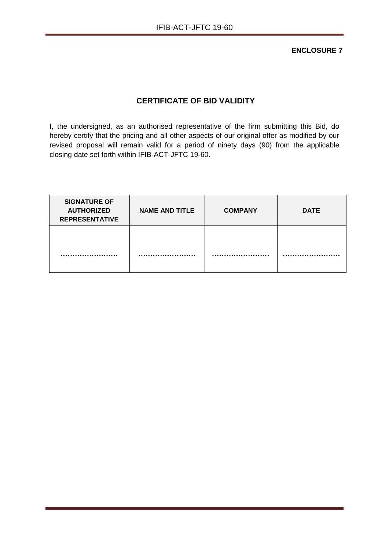**ENCLOSURE 7**

# **CERTIFICATE OF BID VALIDITY**

I, the undersigned, as an authorised representative of the firm submitting this Bid, do hereby certify that the pricing and all other aspects of our original offer as modified by our revised proposal will remain valid for a period of ninety days (90) from the applicable closing date set forth within IFIB-ACT-JFTC 19-60.

| <b>SIGNATURE OF</b><br><b>AUTHORIZED</b><br><b>REPRESENTATIVE</b> | <b>NAME AND TITLE</b> | <b>COMPANY</b> | <b>DATE</b> |
|-------------------------------------------------------------------|-----------------------|----------------|-------------|
|                                                                   |                       |                |             |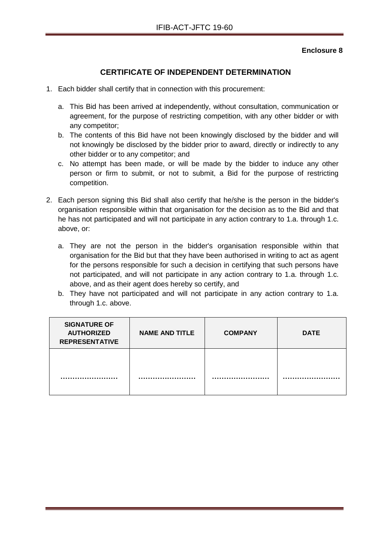# **CERTIFICATE OF INDEPENDENT DETERMINATION**

- 1. Each bidder shall certify that in connection with this procurement:
	- a. This Bid has been arrived at independently, without consultation, communication or agreement, for the purpose of restricting competition, with any other bidder or with any competitor;
	- b. The contents of this Bid have not been knowingly disclosed by the bidder and will not knowingly be disclosed by the bidder prior to award, directly or indirectly to any other bidder or to any competitor; and
	- c. No attempt has been made, or will be made by the bidder to induce any other person or firm to submit, or not to submit, a Bid for the purpose of restricting competition.
- 2. Each person signing this Bid shall also certify that he/she is the person in the bidder's organisation responsible within that organisation for the decision as to the Bid and that he has not participated and will not participate in any action contrary to 1.a. through 1.c. above, or:
	- a. They are not the person in the bidder's organisation responsible within that organisation for the Bid but that they have been authorised in writing to act as agent for the persons responsible for such a decision in certifying that such persons have not participated, and will not participate in any action contrary to 1.a. through 1.c. above, and as their agent does hereby so certify, and
	- b. They have not participated and will not participate in any action contrary to 1.a. through 1.c. above.

| <b>SIGNATURE OF</b><br><b>AUTHORIZED</b><br><b>REPRESENTATIVE</b> | <b>NAME AND TITLE</b> | <b>COMPANY</b> | <b>DATE</b> |
|-------------------------------------------------------------------|-----------------------|----------------|-------------|
|                                                                   |                       |                |             |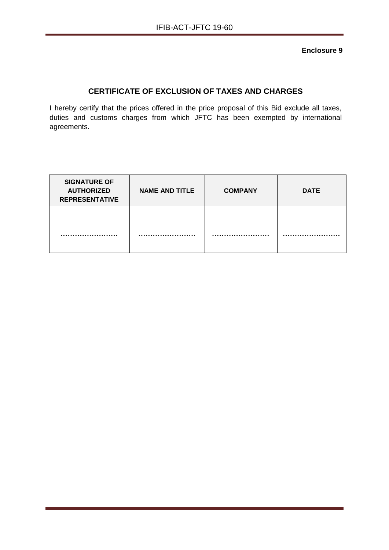# **CERTIFICATE OF EXCLUSION OF TAXES AND CHARGES**

I hereby certify that the prices offered in the price proposal of this Bid exclude all taxes, duties and customs charges from which JFTC has been exempted by international agreements.

| <b>SIGNATURE OF</b><br><b>AUTHORIZED</b><br><b>REPRESENTATIVE</b> | <b>NAME AND TITLE</b> | <b>COMPANY</b> | <b>DATE</b> |
|-------------------------------------------------------------------|-----------------------|----------------|-------------|
|                                                                   |                       |                |             |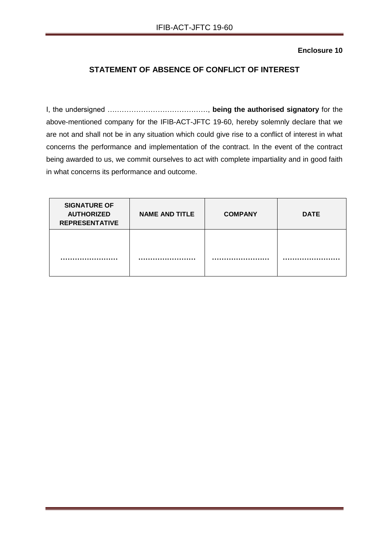# **STATEMENT OF ABSENCE OF CONFLICT OF INTEREST**

I, the undersigned ……………………………………, **being the authorised signatory** for the above-mentioned company for the IFIB-ACT-JFTC 19-60, hereby solemnly declare that we are not and shall not be in any situation which could give rise to a conflict of interest in what concerns the performance and implementation of the contract. In the event of the contract being awarded to us, we commit ourselves to act with complete impartiality and in good faith in what concerns its performance and outcome.

| <b>SIGNATURE OF</b><br><b>AUTHORIZED</b><br><b>REPRESENTATIVE</b> | <b>NAME AND TITLE</b> | <b>COMPANY</b> | <b>DATE</b> |
|-------------------------------------------------------------------|-----------------------|----------------|-------------|
|                                                                   |                       |                |             |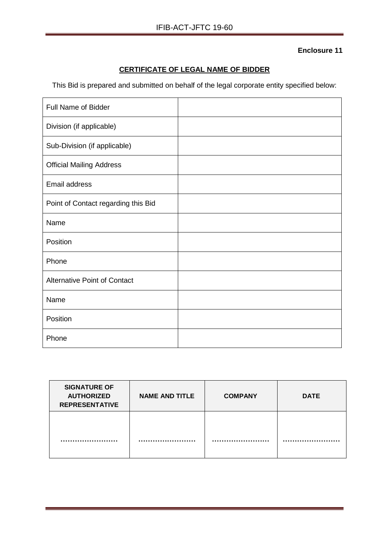# **CERTIFICATE OF LEGAL NAME OF BIDDER**

This Bid is prepared and submitted on behalf of the legal corporate entity specified below:

| <b>Full Name of Bidder</b>          |  |
|-------------------------------------|--|
| Division (if applicable)            |  |
| Sub-Division (if applicable)        |  |
| <b>Official Mailing Address</b>     |  |
| <b>Email address</b>                |  |
| Point of Contact regarding this Bid |  |
| Name                                |  |
| Position                            |  |
| Phone                               |  |
| <b>Alternative Point of Contact</b> |  |
| Name                                |  |
| Position                            |  |
| Phone                               |  |

| <b>SIGNATURE OF</b><br><b>AUTHORIZED</b><br><b>REPRESENTATIVE</b> | <b>NAME AND TITLE</b> | <b>COMPANY</b> | <b>DATE</b> |
|-------------------------------------------------------------------|-----------------------|----------------|-------------|
|                                                                   |                       |                |             |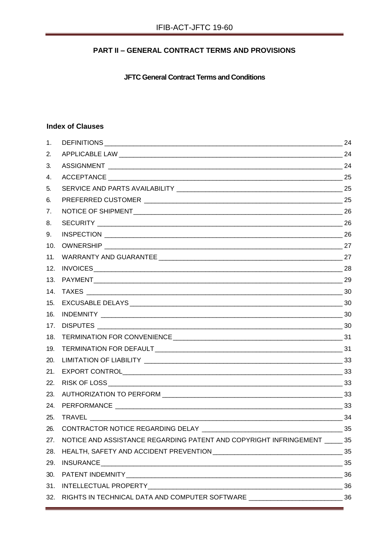# **PART II - GENERAL CONTRACT TERMS AND PROVISIONS**

**JFTC General Contract Terms and Conditions** 

# **Index of Clauses**

| 1.  |                                                                                    |    |
|-----|------------------------------------------------------------------------------------|----|
| 2.  |                                                                                    |    |
| 3.  |                                                                                    |    |
| 4.  |                                                                                    |    |
| 5.  |                                                                                    |    |
| 6.  |                                                                                    |    |
| 7.  |                                                                                    |    |
| 8.  |                                                                                    |    |
| 9.  |                                                                                    |    |
| 10. |                                                                                    |    |
| 11. |                                                                                    |    |
| 12. |                                                                                    |    |
| 13. |                                                                                    |    |
| 14. |                                                                                    |    |
| 15. |                                                                                    |    |
| 16. |                                                                                    |    |
| 17. |                                                                                    |    |
| 18. |                                                                                    |    |
| 19. |                                                                                    |    |
| 20. |                                                                                    |    |
| 21. |                                                                                    |    |
| 22. |                                                                                    |    |
| 23. |                                                                                    |    |
| 24. |                                                                                    |    |
| 25. | $\frac{1}{2}$ 34                                                                   |    |
| 26. | CONTRACTOR NOTICE REGARDING DELAY                                                  | 35 |
| 27. | NOTICE AND ASSISTANCE REGARDING PATENT AND COPYRIGHT INFRINGEMENT 35               |    |
| 28. |                                                                                    |    |
| 29. |                                                                                    |    |
| 30. |                                                                                    |    |
| 31. |                                                                                    |    |
| 32. | RIGHTS IN TECHNICAL DATA AND COMPUTER SOFTWARE _________________________________36 |    |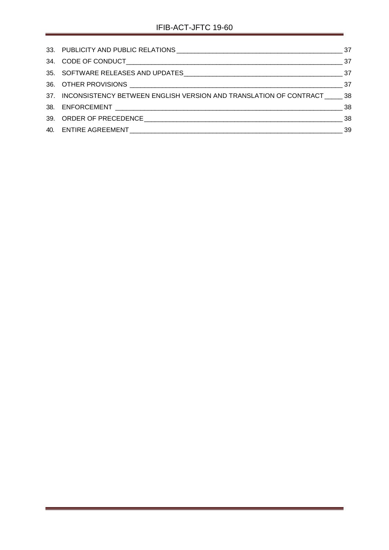<span id="page-22-0"></span>

| 37. INCONSISTENCY BETWEEN ENGLISH VERSION AND TRANSLATION OF CONTRACT ______ 38 |  |
|---------------------------------------------------------------------------------|--|
|                                                                                 |  |
|                                                                                 |  |
|                                                                                 |  |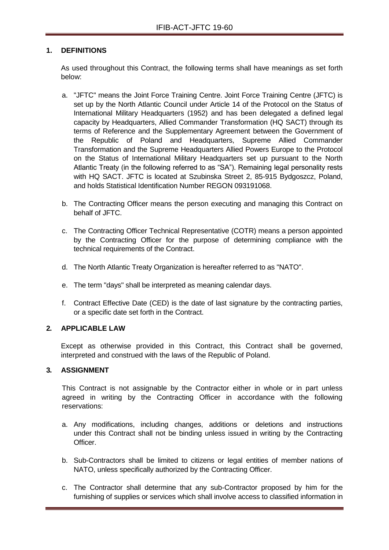#### **1. DEFINITIONS**

As used throughout this Contract, the following terms shall have meanings as set forth below:

- a. "JFTC" means the Joint Force Training Centre. Joint Force Training Centre (JFTC) is set up by the North Atlantic Council under Article 14 of the Protocol on the Status of International Military Headquarters (1952) and has been delegated a defined legal capacity by Headquarters, Allied Commander Transformation (HQ SACT) through its terms of Reference and the Supplementary Agreement between the Government of the Republic of Poland and Headquarters, Supreme Allied Commander Transformation and the Supreme Headquarters Allied Powers Europe to the Protocol on the Status of International Military Headquarters set up pursuant to the North Atlantic Treaty (in the following referred to as "SA"). Remaining legal personality rests with HQ SACT. JFTC is located at Szubinska Street 2, 85-915 Bydgoszcz, Poland, and holds Statistical Identification Number REGON 093191068.
- b. The Contracting Officer means the person executing and managing this Contract on behalf of JFTC.
- c. The Contracting Officer Technical Representative (COTR) means a person appointed by the Contracting Officer for the purpose of determining compliance with the technical requirements of the Contract.
- d. The North Atlantic Treaty Organization is hereafter referred to as "NATO".
- e. The term "days" shall be interpreted as meaning calendar days.
- f. Contract Effective Date (CED) is the date of last signature by the contracting parties, or a specific date set forth in the Contract.

#### <span id="page-23-0"></span>**2. APPLICABLE LAW**

Except as otherwise provided in this Contract, this Contract shall be governed, interpreted and construed with the laws of the Republic of Poland.

# <span id="page-23-1"></span>**3. ASSIGNMENT**

This Contract is not assignable by the Contractor either in whole or in part unless agreed in writing by the Contracting Officer in accordance with the following reservations:

- a. Any modifications, including changes, additions or deletions and instructions under this Contract shall not be binding unless issued in writing by the Contracting **Officer**
- b. Sub-Contractors shall be limited to citizens or legal entities of member nations of NATO, unless specifically authorized by the Contracting Officer.
- c. The Contractor shall determine that any sub-Contractor proposed by him for the furnishing of supplies or services which shall involve access to classified information in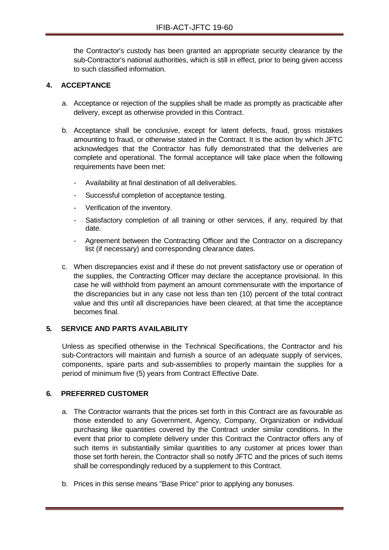the Contractor's custody has been granted an appropriate security clearance by the sub-Contractor's national authorities, which is still in effect, prior to being given access to such classified information.

#### <span id="page-24-0"></span>**4. ACCEPTANCE**

- a. Acceptance or rejection of the supplies shall be made as promptly as practicable after delivery, except as otherwise provided in this Contract.
- b. Acceptance shall be conclusive, except for latent defects, fraud, gross mistakes amounting to fraud, or otherwise stated in the Contract. It is the action by which JFTC acknowledges that the Contractor has fully demonstrated that the deliveries are complete and operational. The formal acceptance will take place when the following requirements have been met:
	- Availability at final destination of all deliverables.
	- Successful completion of acceptance testing.
	- Verification of the inventory.
	- Satisfactory completion of all training or other services, if any, required by that date.
	- Agreement between the Contracting Officer and the Contractor on a discrepancy list (if necessary) and corresponding clearance dates.
- c. When discrepancies exist and if these do not prevent satisfactory use or operation of the supplies, the Contracting Officer may declare the acceptance provisional. In this case he will withhold from payment an amount commensurate with the importance of the discrepancies but in any case not less than ten (10) percent of the total contract value and this until all discrepancies have been cleared; at that time the acceptance becomes final.

#### <span id="page-24-1"></span>**5. SERVICE AND PARTS AVAILABILITY**

Unless as specified otherwise in the Technical Specifications, the Contractor and his sub-Contractors will maintain and furnish a source of an adequate supply of services, components, spare parts and sub-assemblies to properly maintain the supplies for a period of minimum five (5) years from Contract Effective Date.

#### <span id="page-24-2"></span>**6. PREFERRED CUSTOMER**

- a. The Contractor warrants that the prices set forth in this Contract are as favourable as those extended to any Government, Agency, Company, Organization or individual purchasing like quantities covered by the Contract under similar conditions. In the event that prior to complete delivery under this Contract the Contractor offers any of such items in substantially similar quantities to any customer at prices lower than those set forth herein, the Contractor shall so notify JFTC and the prices of such items shall be correspondingly reduced by a supplement to this Contract.
- b. Prices in this sense means "Base Price" prior to applying any bonuses.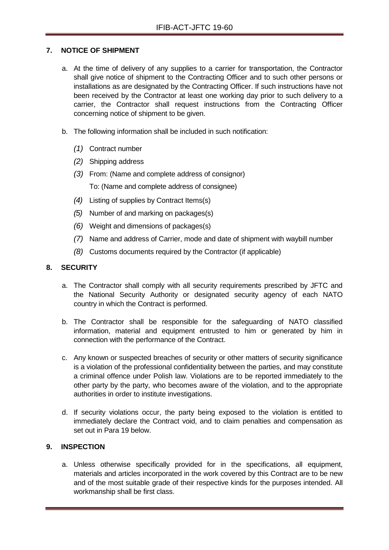### <span id="page-25-0"></span>**7. NOTICE OF SHIPMENT**

- a. At the time of delivery of any supplies to a carrier for transportation, the Contractor shall give notice of shipment to the Contracting Officer and to such other persons or installations as are designated by the Contracting Officer. If such instructions have not been received by the Contractor at least one working day prior to such delivery to a carrier, the Contractor shall request instructions from the Contracting Officer concerning notice of shipment to be given.
- b. The following information shall be included in such notification:
	- *(1)* Contract number
	- *(2)* Shipping address
	- *(3)* From: (Name and complete address of consignor) To: (Name and complete address of consignee)
	- *(4)* Listing of supplies by Contract Items(s)
	- *(5)* Number of and marking on packages(s)
	- *(6)* Weight and dimensions of packages(s)
	- *(7)* Name and address of Carrier, mode and date of shipment with waybill number
	- *(8)* Customs documents required by the Contractor (if applicable)

### <span id="page-25-1"></span>**8. SECURITY**

- a. The Contractor shall comply with all security requirements prescribed by JFTC and the National Security Authority or designated security agency of each NATO country in which the Contract is performed.
- b. The Contractor shall be responsible for the safeguarding of NATO classified information, material and equipment entrusted to him or generated by him in connection with the performance of the Contract.
- c. Any known or suspected breaches of security or other matters of security significance is a violation of the professional confidentiality between the parties, and may constitute a criminal offence under Polish law. Violations are to be reported immediately to the other party by the party, who becomes aware of the violation, and to the appropriate authorities in order to institute investigations.
- d. If security violations occur, the party being exposed to the violation is entitled to immediately declare the Contract void, and to claim penalties and compensation as set out in Para 19 below.

# <span id="page-25-2"></span>**9. INSPECTION**

a. Unless otherwise specifically provided for in the specifications, all equipment, materials and articles incorporated in the work covered by this Contract are to be new and of the most suitable grade of their respective kinds for the purposes intended. All workmanship shall be first class.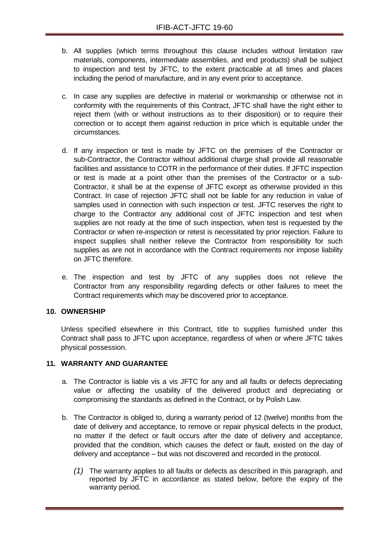- b. All supplies (which terms throughout this clause includes without limitation raw materials, components, intermediate assemblies, and end products) shall be subject to inspection and test by JFTC, to the extent practicable at all times and places including the period of manufacture, and in any event prior to acceptance.
- c. In case any supplies are defective in material or workmanship or otherwise not in conformity with the requirements of this Contract, JFTC shall have the right either to reject them (with or without instructions as to their disposition) or to require their correction or to accept them against reduction in price which is equitable under the circumstances.
- d. If any inspection or test is made by JFTC on the premises of the Contractor or sub-Contractor, the Contractor without additional charge shall provide all reasonable facilities and assistance to COTR in the performance of their duties. If JFTC inspection or test is made at a point other than the premises of the Contractor or a sub-Contractor, it shall be at the expense of JFTC except as otherwise provided in this Contract. In case of rejection JFTC shall not be liable for any reduction in value of samples used in connection with such inspection or test. JFTC reserves the right to charge to the Contractor any additional cost of JFTC inspection and test when supplies are not ready at the time of such inspection, when test is requested by the Contractor or when re-inspection or retest is necessitated by prior rejection. Failure to inspect supplies shall neither relieve the Contractor from responsibility for such supplies as are not in accordance with the Contract requirements nor impose liability on JFTC therefore.
- e. The inspection and test by JFTC of any supplies does not relieve the Contractor from any responsibility regarding defects or other failures to meet the Contract requirements which may be discovered prior to acceptance.

#### <span id="page-26-0"></span>**10. OWNERSHIP**

Unless specified elsewhere in this Contract, title to supplies furnished under this Contract shall pass to JFTC upon acceptance, regardless of when or where JFTC takes physical possession.

#### <span id="page-26-1"></span>**11. WARRANTY AND GUARANTEE**

- a. The Contractor is liable vis a vis JFTC for any and all faults or defects depreciating value or affecting the usability of the delivered product and depreciating or compromising the standards as defined in the Contract, or by Polish Law.
- b. The Contractor is obliged to, during a warranty period of 12 (twelve) months from the date of delivery and acceptance, to remove or repair physical defects in the product, no matter if the defect or fault occurs after the date of delivery and acceptance, provided that the condition, which causes the defect or fault, existed on the day of delivery and acceptance – but was not discovered and recorded in the protocol.
	- *(1)* The warranty applies to all faults or defects as described in this paragraph, and reported by JFTC in accordance as stated below, before the expiry of the warranty period.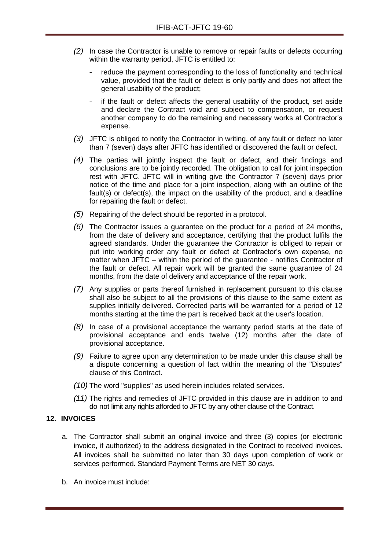- *(2)* In case the Contractor is unable to remove or repair faults or defects occurring within the warranty period, JFTC is entitled to:
	- reduce the payment corresponding to the loss of functionality and technical value, provided that the fault or defect is only partly and does not affect the general usability of the product;
	- if the fault or defect affects the general usability of the product, set aside and declare the Contract void and subject to compensation, or request another company to do the remaining and necessary works at Contractor's expense.
- *(3)* JFTC is obliged to notify the Contractor in writing, of any fault or defect no later than 7 (seven) days after JFTC has identified or discovered the fault or defect.
- *(4)* The parties will jointly inspect the fault or defect, and their findings and conclusions are to be jointly recorded. The obligation to call for joint inspection rest with JFTC. JFTC will in writing give the Contractor 7 (seven) days prior notice of the time and place for a joint inspection, along with an outline of the fault(s) or defect(s), the impact on the usability of the product, and a deadline for repairing the fault or defect.
- *(5)* Repairing of the defect should be reported in a protocol.
- *(6)* The Contractor issues a guarantee on the product for a period of 24 months, from the date of delivery and acceptance, certifying that the product fulfils the agreed standards. Under the guarantee the Contractor is obliged to repair or put into working order any fault or defect at Contractor's own expense, no matter when JFTC – within the period of the guarantee - notifies Contractor of the fault or defect. All repair work will be granted the same guarantee of 24 months, from the date of delivery and acceptance of the repair work.
- *(7)* Any supplies or parts thereof furnished in replacement pursuant to this clause shall also be subject to all the provisions of this clause to the same extent as supplies initially delivered. Corrected parts will be warranted for a period of 12 months starting at the time the part is received back at the user's location.
- *(8)* In case of a provisional acceptance the warranty period starts at the date of provisional acceptance and ends twelve (12) months after the date of provisional acceptance.
- *(9)* Failure to agree upon any determination to be made under this clause shall be a dispute concerning a question of fact within the meaning of the "Disputes" clause of this Contract.
- *(10)* The word "supplies" as used herein includes related services.
- *(11)* The rights and remedies of JFTC provided in this clause are in addition to and do not limit any rights afforded to JFTC by any other clause of the Contract.

#### <span id="page-27-0"></span>**12. INVOICES**

- a. The Contractor shall submit an original invoice and three (3) copies (or electronic invoice, if authorized) to the address designated in the Contract to received invoices. All invoices shall be submitted no later than 30 days upon completion of work or services performed. Standard Payment Terms are NET 30 days.
- b. An invoice must include: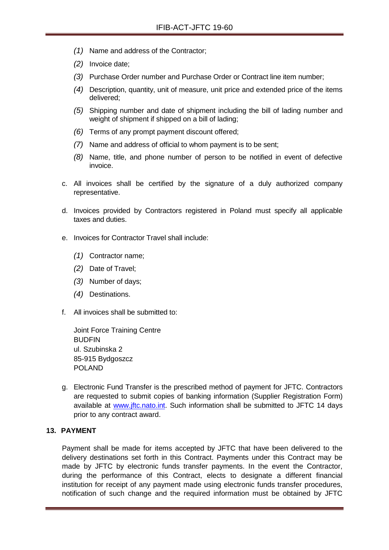- *(1)* Name and address of the Contractor;
- *(2)* Invoice date;
- *(3)* Purchase Order number and Purchase Order or Contract line item number;
- *(4)* Description, quantity, unit of measure, unit price and extended price of the items delivered;
- *(5)* Shipping number and date of shipment including the bill of lading number and weight of shipment if shipped on a bill of lading;
- *(6)* Terms of any prompt payment discount offered;
- *(7)* Name and address of official to whom payment is to be sent;
- *(8)* Name, title, and phone number of person to be notified in event of defective invoice.
- c. All invoices shall be certified by the signature of a duly authorized company representative.
- d. Invoices provided by Contractors registered in Poland must specify all applicable taxes and duties.
- e. Invoices for Contractor Travel shall include:
	- *(1)* Contractor name;
	- *(2)* Date of Travel;
	- *(3)* Number of days;
	- *(4)* Destinations.
- f. All invoices shall be submitted to:

Joint Force Training Centre **BUDFIN** ul. Szubinska 2 85-915 Bydgoszcz POLAND

g. Electronic Fund Transfer is the prescribed method of payment for JFTC. Contractors are requested to submit copies of banking information (Supplier Registration Form) available at [www.jftc.nato.int.](http://www.jftc.nato.int/) Such information shall be submitted to JFTC 14 days prior to any contract award.

#### <span id="page-28-0"></span>**13. PAYMENT**

Payment shall be made for items accepted by JFTC that have been delivered to the delivery destinations set forth in this Contract. Payments under this Contract may be made by JFTC by electronic funds transfer payments. In the event the Contractor, during the performance of this Contract, elects to designate a different financial institution for receipt of any payment made using electronic funds transfer procedures, notification of such change and the required information must be obtained by JFTC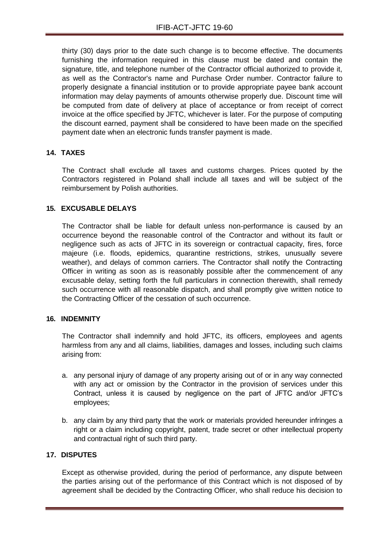thirty (30) days prior to the date such change is to become effective. The documents furnishing the information required in this clause must be dated and contain the signature, title, and telephone number of the Contractor official authorized to provide it, as well as the Contractor's name and Purchase Order number. Contractor failure to properly designate a financial institution or to provide appropriate payee bank account information may delay payments of amounts otherwise properly due. Discount time will be computed from date of delivery at place of acceptance or from receipt of correct invoice at the office specified by JFTC, whichever is later. For the purpose of computing the discount earned, payment shall be considered to have been made on the specified payment date when an electronic funds transfer payment is made.

#### <span id="page-29-0"></span>**14. TAXES**

The Contract shall exclude all taxes and customs charges. Prices quoted by the Contractors registered in Poland shall include all taxes and will be subject of the reimbursement by Polish authorities.

#### <span id="page-29-1"></span>**15. EXCUSABLE DELAYS**

The Contractor shall be liable for default unless non-performance is caused by an occurrence beyond the reasonable control of the Contractor and without its fault or negligence such as acts of JFTC in its sovereign or contractual capacity, fires, force majeure (i.e. floods, epidemics, quarantine restrictions, strikes, unusually severe weather), and delays of common carriers. The Contractor shall notify the Contracting Officer in writing as soon as is reasonably possible after the commencement of any excusable delay, setting forth the full particulars in connection therewith, shall remedy such occurrence with all reasonable dispatch, and shall promptly give written notice to the Contracting Officer of the cessation of such occurrence.

#### <span id="page-29-2"></span>**16. INDEMNITY**

The Contractor shall indemnify and hold JFTC, its officers, employees and agents harmless from any and all claims, liabilities, damages and losses, including such claims arising from:

- a. any personal injury of damage of any property arising out of or in any way connected with any act or omission by the Contractor in the provision of services under this Contract, unless it is caused by negligence on the part of JFTC and/or JFTC's employees;
- b. any claim by any third party that the work or materials provided hereunder infringes a right or a claim including copyright, patent, trade secret or other intellectual property and contractual right of such third party.

# <span id="page-29-3"></span>**17. DISPUTES**

Except as otherwise provided, during the period of performance, any dispute between the parties arising out of the performance of this Contract which is not disposed of by agreement shall be decided by the Contracting Officer, who shall reduce his decision to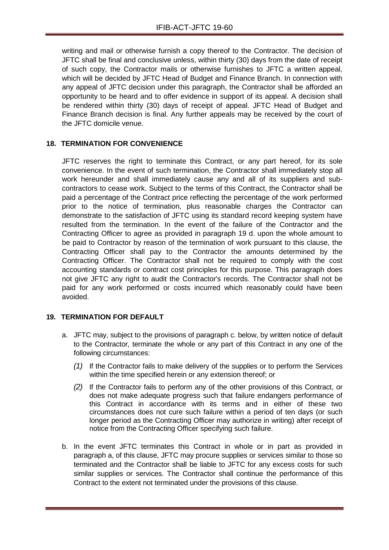writing and mail or otherwise furnish a copy thereof to the Contractor. The decision of JFTC shall be final and conclusive unless, within thirty (30) days from the date of receipt of such copy, the Contractor mails or otherwise furnishes to JFTC a written appeal, which will be decided by JFTC Head of Budget and Finance Branch. In connection with any appeal of JFTC decision under this paragraph, the Contractor shall be afforded an opportunity to be heard and to offer evidence in support of its appeal. A decision shall be rendered within thirty (30) days of receipt of appeal. JFTC Head of Budget and Finance Branch decision is final. Any further appeals may be received by the court of the JFTC domicile venue.

### <span id="page-30-0"></span>**18. TERMINATION FOR CONVENIENCE**

JFTC reserves the right to terminate this Contract, or any part hereof, for its sole convenience. In the event of such termination, the Contractor shall immediately stop all work hereunder and shall immediately cause any and all of its suppliers and subcontractors to cease work. Subject to the terms of this Contract, the Contractor shall be paid a percentage of the Contract price reflecting the percentage of the work performed prior to the notice of termination, plus reasonable charges the Contractor can demonstrate to the satisfaction of JFTC using its standard record keeping system have resulted from the termination. In the event of the failure of the Contractor and the Contracting Officer to agree as provided in paragraph 19 d. upon the whole amount to be paid to Contractor by reason of the termination of work pursuant to this clause, the Contracting Officer shall pay to the Contractor the amounts determined by the Contracting Officer. The Contractor shall not be required to comply with the cost accounting standards or contract cost principles for this purpose. This paragraph does not give JFTC any right to audit the Contractor's records. The Contractor shall not be paid for any work performed or costs incurred which reasonably could have been avoided.

#### <span id="page-30-1"></span>**19. TERMINATION FOR DEFAULT**

- a. JFTC may, subject to the provisions of paragraph c. below, by written notice of default to the Contractor, terminate the whole or any part of this Contract in any one of the following circumstances:
	- *(1)* If the Contractor fails to make delivery of the supplies or to perform the Services within the time specified herein or any extension thereof; or
	- *(2)* If the Contractor fails to perform any of the other provisions of this Contract, or does not make adequate progress such that failure endangers performance of this Contract in accordance with its terms and in either of these two circumstances does not cure such failure within a period of ten days (or such longer period as the Contracting Officer may authorize in writing) after receipt of notice from the Contracting Officer specifying such failure.
- b. In the event JFTC terminates this Contract in whole or in part as provided in paragraph a, of this clause, JFTC may procure supplies or services similar to those so terminated and the Contractor shall be liable to JFTC for any excess costs for such similar supplies or services. The Contractor shall continue the performance of this Contract to the extent not terminated under the provisions of this clause.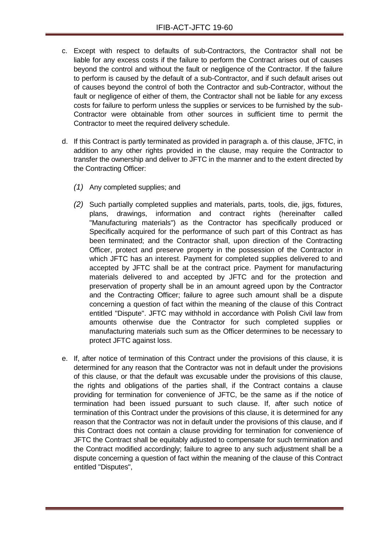- c. Except with respect to defaults of sub-Contractors, the Contractor shall not be liable for any excess costs if the failure to perform the Contract arises out of causes beyond the control and without the fault or negligence of the Contractor. If the failure to perform is caused by the default of a sub-Contractor, and if such default arises out of causes beyond the control of both the Contractor and sub-Contractor, without the fault or negligence of either of them, the Contractor shall not be liable for any excess costs for failure to perform unless the supplies or services to be furnished by the sub-Contractor were obtainable from other sources in sufficient time to permit the Contractor to meet the required delivery schedule.
- d. If this Contract is partly terminated as provided in paragraph a. of this clause, JFTC, in addition to any other rights provided in the clause, may require the Contractor to transfer the ownership and deliver to JFTC in the manner and to the extent directed by the Contracting Officer:
	- *(1)* Any completed supplies; and
	- *(2)* Such partially completed supplies and materials, parts, tools, die, jigs, fixtures, plans, drawings, information and contract rights (hereinafter called "Manufacturing materials") as the Contractor has specifically produced or Specifically acquired for the performance of such part of this Contract as has been terminated; and the Contractor shall, upon direction of the Contracting Officer, protect and preserve property in the possession of the Contractor in which JFTC has an interest. Payment for completed supplies delivered to and accepted by JFTC shall be at the contract price. Payment for manufacturing materials delivered to and accepted by JFTC and for the protection and preservation of property shall be in an amount agreed upon by the Contractor and the Contracting Officer; failure to agree such amount shall be a dispute concerning a question of fact within the meaning of the clause of this Contract entitled "Dispute". JFTC may withhold in accordance with Polish Civil law from amounts otherwise due the Contractor for such completed supplies or manufacturing materials such sum as the Officer determines to be necessary to protect JFTC against loss.
- e. If, after notice of termination of this Contract under the provisions of this clause, it is determined for any reason that the Contractor was not in default under the provisions of this clause, or that the default was excusable under the provisions of this clause, the rights and obligations of the parties shall, if the Contract contains a clause providing for termination for convenience of JFTC, be the same as if the notice of termination had been issued pursuant to such clause. If, after such notice of termination of this Contract under the provisions of this clause, it is determined for any reason that the Contractor was not in default under the provisions of this clause, and if this Contract does not contain a clause providing for termination for convenience of JFTC the Contract shall be equitably adjusted to compensate for such termination and the Contract modified accordingly; failure to agree to any such adjustment shall be a dispute concerning a question of fact within the meaning of the clause of this Contract entitled "Disputes",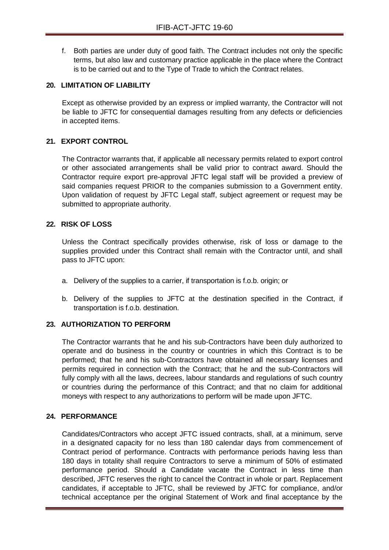f. Both parties are under duty of good faith. The Contract includes not only the specific terms, but also law and customary practice applicable in the place where the Contract is to be carried out and to the Type of Trade to which the Contract relates.

#### <span id="page-32-0"></span>**20. LIMITATION OF LIABILITY**

Except as otherwise provided by an express or implied warranty, the Contractor will not be liable to JFTC for consequential damages resulting from any defects or deficiencies in accepted items.

#### <span id="page-32-1"></span>**21. EXPORT CONTROL**

The Contractor warrants that, if applicable all necessary permits related to export control or other associated arrangements shall be valid prior to contract award. Should the Contractor require export pre-approval JFTC legal staff will be provided a preview of said companies request PRIOR to the companies submission to a Government entity. Upon validation of request by JFTC Legal staff, subject agreement or request may be submitted to appropriate authority.

#### <span id="page-32-2"></span>**22. RISK OF LOSS**

Unless the Contract specifically provides otherwise, risk of loss or damage to the supplies provided under this Contract shall remain with the Contractor until, and shall pass to JFTC upon:

- a. Delivery of the supplies to a carrier, if transportation is f.o.b. origin; or
- b. Delivery of the supplies to JFTC at the destination specified in the Contract, if transportation is f.o.b. destination.

#### <span id="page-32-3"></span>**23. AUTHORIZATION TO PERFORM**

The Contractor warrants that he and his sub-Contractors have been duly authorized to operate and do business in the country or countries in which this Contract is to be performed; that he and his sub-Contractors have obtained all necessary licenses and permits required in connection with the Contract; that he and the sub-Contractors will fully comply with all the laws, decrees, labour standards and regulations of such country or countries during the performance of this Contract; and that no claim for additional moneys with respect to any authorizations to perform will be made upon JFTC.

#### <span id="page-32-4"></span>**24. PERFORMANCE**

Candidates/Contractors who accept JFTC issued contracts, shall, at a minimum, serve in a designated capacity for no less than 180 calendar days from commencement of Contract period of performance. Contracts with performance periods having less than 180 days in totality shall require Contractors to serve a minimum of 50% of estimated performance period. Should a Candidate vacate the Contract in less time than described, JFTC reserves the right to cancel the Contract in whole or part. Replacement candidates, if acceptable to JFTC, shall be reviewed by JFTC for compliance, and/or technical acceptance per the original Statement of Work and final acceptance by the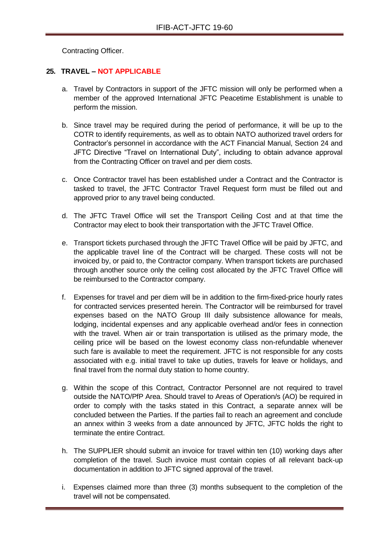Contracting Officer.

# <span id="page-33-0"></span>**25. TRAVEL – NOT APPLICABLE**

- a. Travel by Contractors in support of the JFTC mission will only be performed when a member of the approved International JFTC Peacetime Establishment is unable to perform the mission.
- b. Since travel may be required during the period of performance, it will be up to the COTR to identify requirements, as well as to obtain NATO authorized travel orders for Contractor's personnel in accordance with the ACT Financial Manual, Section 24 and JFTC Directive "Travel on International Duty", including to obtain advance approval from the Contracting Officer on travel and per diem costs.
- c. Once Contractor travel has been established under a Contract and the Contractor is tasked to travel, the JFTC Contractor Travel Request form must be filled out and approved prior to any travel being conducted.
- d. The JFTC Travel Office will set the Transport Ceiling Cost and at that time the Contractor may elect to book their transportation with the JFTC Travel Office.
- e. Transport tickets purchased through the JFTC Travel Office will be paid by JFTC, and the applicable travel line of the Contract will be charged. These costs will not be invoiced by, or paid to, the Contractor company. When transport tickets are purchased through another source only the ceiling cost allocated by the JFTC Travel Office will be reimbursed to the Contractor company.
- f. Expenses for travel and per diem will be in addition to the firm-fixed-price hourly rates for contracted services presented herein. The Contractor will be reimbursed for travel expenses based on the NATO Group III daily subsistence allowance for meals, lodging, incidental expenses and any applicable overhead and/or fees in connection with the travel. When air or train transportation is utilised as the primary mode, the ceiling price will be based on the lowest economy class non-refundable whenever such fare is available to meet the requirement. JFTC is not responsible for any costs associated with e.g. initial travel to take up duties, travels for leave or holidays, and final travel from the normal duty station to home country.
- g. Within the scope of this Contract, Contractor Personnel are not required to travel outside the NATO/PfP Area. Should travel to Areas of Operation/s (AO) be required in order to comply with the tasks stated in this Contract, a separate annex will be concluded between the Parties. If the parties fail to reach an agreement and conclude an annex within 3 weeks from a date announced by JFTC, JFTC holds the right to terminate the entire Contract.
- h. The SUPPLIER should submit an invoice for travel within ten (10) working days after completion of the travel. Such invoice must contain copies of all relevant back-up documentation in addition to JFTC signed approval of the travel.
- i. Expenses claimed more than three (3) months subsequent to the completion of the travel will not be compensated.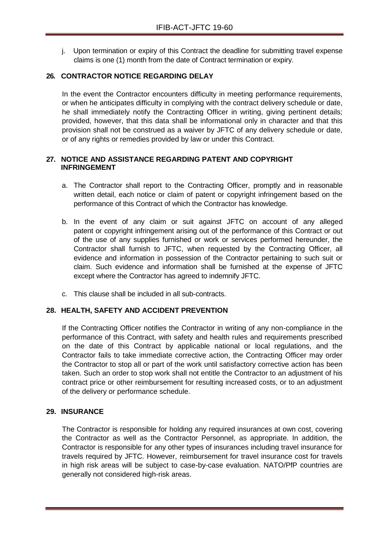j. Upon termination or expiry of this Contract the deadline for submitting travel expense claims is one (1) month from the date of Contract termination or expiry.

# <span id="page-34-0"></span>**26. CONTRACTOR NOTICE REGARDING DELAY**

In the event the Contractor encounters difficulty in meeting performance requirements, or when he anticipates difficulty in complying with the contract delivery schedule or date, he shall immediately notify the Contracting Officer in writing, giving pertinent details; provided, however, that this data shall be informational only in character and that this provision shall not be construed as a waiver by JFTC of any delivery schedule or date, or of any rights or remedies provided by law or under this Contract.

#### <span id="page-34-1"></span>**27. NOTICE AND ASSISTANCE REGARDING PATENT AND COPYRIGHT INFRINGEMENT**

- a. The Contractor shall report to the Contracting Officer, promptly and in reasonable written detail, each notice or claim of patent or copyright infringement based on the performance of this Contract of which the Contractor has knowledge.
- b. In the event of any claim or suit against JFTC on account of any alleged patent or copyright infringement arising out of the performance of this Contract or out of the use of any supplies furnished or work or services performed hereunder, the Contractor shall furnish to JFTC, when requested by the Contracting Officer, all evidence and information in possession of the Contractor pertaining to such suit or claim. Such evidence and information shall be furnished at the expense of JFTC except where the Contractor has agreed to indemnify JFTC.
- c. This clause shall be included in all sub-contracts.

#### <span id="page-34-2"></span>**28. HEALTH, SAFETY AND ACCIDENT PREVENTION**

If the Contracting Officer notifies the Contractor in writing of any non-compliance in the performance of this Contract, with safety and health rules and requirements prescribed on the date of this Contract by applicable national or local regulations, and the Contractor fails to take immediate corrective action, the Contracting Officer may order the Contractor to stop all or part of the work until satisfactory corrective action has been taken. Such an order to stop work shall not entitle the Contractor to an adjustment of his contract price or other reimbursement for resulting increased costs, or to an adjustment of the delivery or performance schedule.

#### <span id="page-34-3"></span>**29. INSURANCE**

The Contractor is responsible for holding any required insurances at own cost, covering the Contractor as well as the Contractor Personnel, as appropriate. In addition, the Contractor is responsible for any other types of insurances including travel insurance for travels required by JFTC. However, reimbursement for travel insurance cost for travels in high risk areas will be subject to case-by-case evaluation. NATO/PfP countries are generally not considered high-risk areas.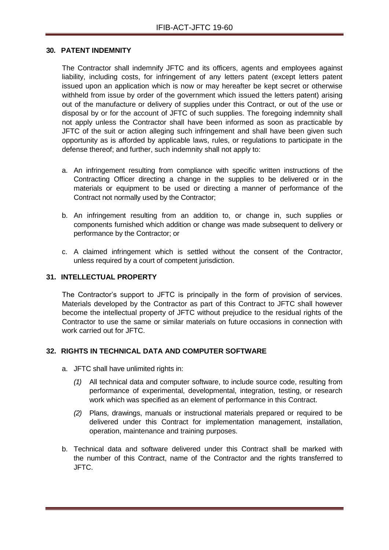#### <span id="page-35-0"></span>**30. PATENT INDEMNITY**

The Contractor shall indemnify JFTC and its officers, agents and employees against liability, including costs, for infringement of any letters patent (except letters patent issued upon an application which is now or may hereafter be kept secret or otherwise withheld from issue by order of the government which issued the letters patent) arising out of the manufacture or delivery of supplies under this Contract, or out of the use or disposal by or for the account of JFTC of such supplies. The foregoing indemnity shall not apply unless the Contractor shall have been informed as soon as practicable by JFTC of the suit or action alleging such infringement and shall have been given such opportunity as is afforded by applicable laws, rules, or regulations to participate in the defense thereof; and further, such indemnity shall not apply to:

- a. An infringement resulting from compliance with specific written instructions of the Contracting Officer directing a change in the supplies to be delivered or in the materials or equipment to be used or directing a manner of performance of the Contract not normally used by the Contractor;
- b. An infringement resulting from an addition to, or change in, such supplies or components furnished which addition or change was made subsequent to delivery or performance by the Contractor; or
- c. A claimed infringement which is settled without the consent of the Contractor, unless required by a court of competent jurisdiction.

#### <span id="page-35-1"></span>**31. INTELLECTUAL PROPERTY**

The Contractor's support to JFTC is principally in the form of provision of services. Materials developed by the Contractor as part of this Contract to JFTC shall however become the intellectual property of JFTC without prejudice to the residual rights of the Contractor to use the same or similar materials on future occasions in connection with work carried out for JFTC.

#### <span id="page-35-2"></span>**32. RIGHTS IN TECHNICAL DATA AND COMPUTER SOFTWARE**

- a. JFTC shall have unlimited rights in:
	- *(1)* All technical data and computer software, to include source code, resulting from performance of experimental, developmental, integration, testing, or research work which was specified as an element of performance in this Contract.
	- *(2)* Plans, drawings, manuals or instructional materials prepared or required to be delivered under this Contract for implementation management, installation, operation, maintenance and training purposes.
- b. Technical data and software delivered under this Contract shall be marked with the number of this Contract, name of the Contractor and the rights transferred to JFTC.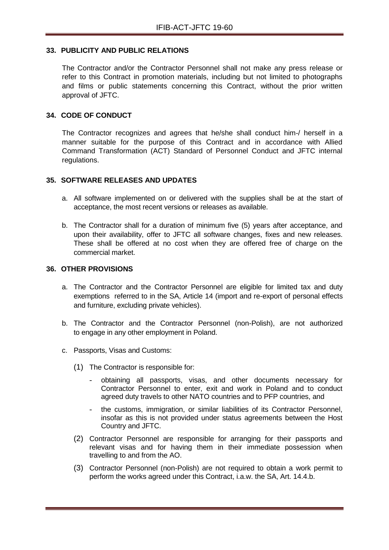#### <span id="page-36-0"></span>**33. PUBLICITY AND PUBLIC RELATIONS**

The Contractor and/or the Contractor Personnel shall not make any press release or refer to this Contract in promotion materials, including but not limited to photographs and films or public statements concerning this Contract, without the prior written approval of JFTC.

#### <span id="page-36-1"></span>**34. CODE OF CONDUCT**

The Contractor recognizes and agrees that he/she shall conduct him-/ herself in a manner suitable for the purpose of this Contract and in accordance with Allied Command Transformation (ACT) Standard of Personnel Conduct and JFTC internal regulations.

#### <span id="page-36-2"></span>**35. SOFTWARE RELEASES AND UPDATES**

- a. All software implemented on or delivered with the supplies shall be at the start of acceptance, the most recent versions or releases as available.
- b. The Contractor shall for a duration of minimum five (5) years after acceptance, and upon their availability, offer to JFTC all software changes, fixes and new releases. These shall be offered at no cost when they are offered free of charge on the commercial market.

#### <span id="page-36-3"></span>**36. OTHER PROVISIONS**

- a. The Contractor and the Contractor Personnel are eligible for limited tax and duty exemptions referred to in the SA, Article 14 (import and re-export of personal effects and furniture, excluding private vehicles).
- b. The Contractor and the Contractor Personnel (non-Polish), are not authorized to engage in any other employment in Poland.
- c. Passports, Visas and Customs:
	- (1) The Contractor is responsible for:
		- obtaining all passports, visas, and other documents necessary for Contractor Personnel to enter, exit and work in Poland and to conduct agreed duty travels to other NATO countries and to PFP countries, and
		- the customs, immigration, or similar liabilities of its Contractor Personnel, insofar as this is not provided under status agreements between the Host Country and JFTC.
	- (2) Contractor Personnel are responsible for arranging for their passports and relevant visas and for having them in their immediate possession when travelling to and from the AO.
	- (3) Contractor Personnel (non-Polish) are not required to obtain a work permit to perform the works agreed under this Contract, i.a.w. the SA, Art. 14.4.b.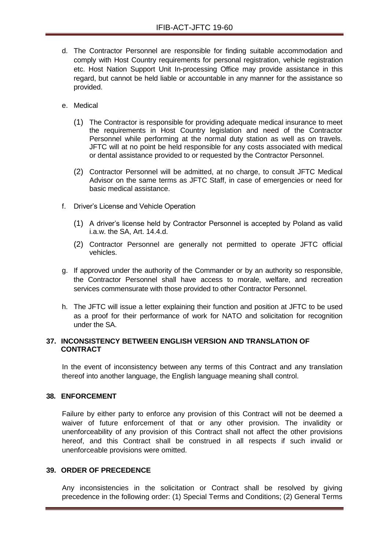- d. The Contractor Personnel are responsible for finding suitable accommodation and comply with Host Country requirements for personal registration, vehicle registration etc. Host Nation Support Unit In-processing Office may provide assistance in this regard, but cannot be held liable or accountable in any manner for the assistance so provided.
- e. Medical
	- (1) The Contractor is responsible for providing adequate medical insurance to meet the requirements in Host Country legislation and need of the Contractor Personnel while performing at the normal duty station as well as on travels. JFTC will at no point be held responsible for any costs associated with medical or dental assistance provided to or requested by the Contractor Personnel.
	- (2) Contractor Personnel will be admitted, at no charge, to consult JFTC Medical Advisor on the same terms as JFTC Staff, in case of emergencies or need for basic medical assistance.
- f. Driver's License and Vehicle Operation
	- (1) A driver's license held by Contractor Personnel is accepted by Poland as valid i.a.w. the SA, Art. 14.4.d.
	- (2) Contractor Personnel are generally not permitted to operate JFTC official vehicles.
- g. If approved under the authority of the Commander or by an authority so responsible, the Contractor Personnel shall have access to morale, welfare, and recreation services commensurate with those provided to other Contractor Personnel.
- h. The JFTC will issue a letter explaining their function and position at JFTC to be used as a proof for their performance of work for NATO and solicitation for recognition under the SA.

#### <span id="page-37-0"></span>**37. INCONSISTENCY BETWEEN ENGLISH VERSION AND TRANSLATION OF CONTRACT**

In the event of inconsistency between any terms of this Contract and any translation thereof into another language, the English language meaning shall control.

# <span id="page-37-1"></span>**38. ENFORCEMENT**

Failure by either party to enforce any provision of this Contract will not be deemed a waiver of future enforcement of that or any other provision. The invalidity or unenforceability of any provision of this Contract shall not affect the other provisions hereof, and this Contract shall be construed in all respects if such invalid or unenforceable provisions were omitted.

#### <span id="page-37-2"></span>**39. ORDER OF PRECEDENCE**

Any inconsistencies in the solicitation or Contract shall be resolved by giving precedence in the following order: (1) Special Terms and Conditions; (2) General Terms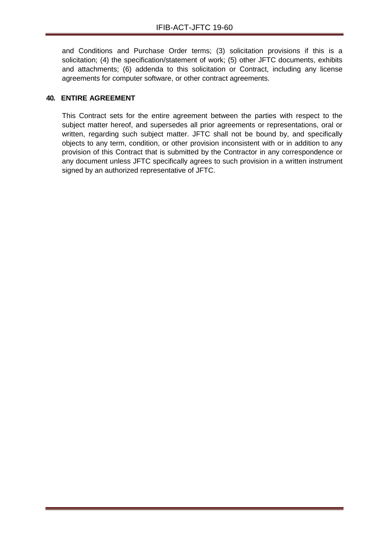and Conditions and Purchase Order terms; (3) solicitation provisions if this is a solicitation; (4) the specification/statement of work; (5) other JFTC documents, exhibits and attachments; (6) addenda to this solicitation or Contract, including any license agreements for computer software, or other contract agreements.

# <span id="page-38-0"></span>**40. ENTIRE AGREEMENT**

This Contract sets for the entire agreement between the parties with respect to the subject matter hereof, and supersedes all prior agreements or representations, oral or written, regarding such subject matter. JFTC shall not be bound by, and specifically objects to any term, condition, or other provision inconsistent with or in addition to any provision of this Contract that is submitted by the Contractor in any correspondence or any document unless JFTC specifically agrees to such provision in a written instrument signed by an authorized representative of JFTC.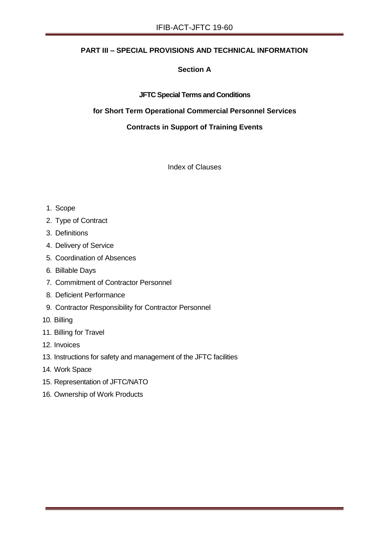# **PART III – SPECIAL PROVISIONS AND TECHNICAL INFORMATION**

# **Section A**

#### **JFTC Special Terms and Conditions**

#### **for Short Term Operational Commercial Personnel Services**

#### **Contracts in Support of Training Events**

Index of Clauses

- 1. Scope
- 2. Type of Contract
- 3. Definitions
- 4. Delivery of Service
- 5. Coordination of Absences
- 6. Billable Days
- 7. Commitment of Contractor Personnel
- 8. Deficient Performance
- 9. Contractor Responsibility for Contractor Personnel
- 10. Billing
- 11. Billing for Travel
- 12. Invoices
- 13. Instructions for safety and management of the JFTC facilities
- 14. Work Space
- 15. Representation of JFTC/NATO
- 16. Ownership of Work Products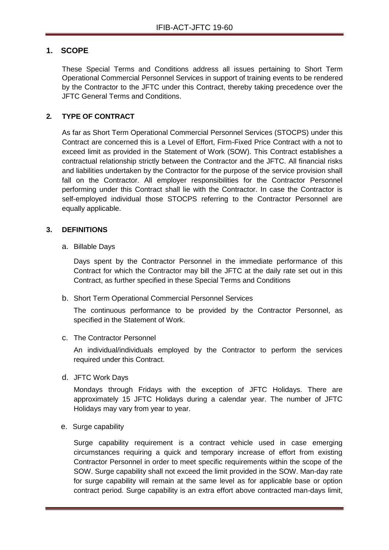# **1. SCOPE**

These Special Terms and Conditions address all issues pertaining to Short Term Operational Commercial Personnel Services in support of training events to be rendered by the Contractor to the JFTC under this Contract, thereby taking precedence over the JFTC General Terms and Conditions.

# **2. TYPE OF CONTRACT**

As far as Short Term Operational Commercial Personnel Services (STOCPS) under this Contract are concerned this is a Level of Effort, Firm-Fixed Price Contract with a not to exceed limit as provided in the Statement of Work (SOW). This Contract establishes a contractual relationship strictly between the Contractor and the JFTC. All financial risks and liabilities undertaken by the Contractor for the purpose of the service provision shall fall on the Contractor. All employer responsibilities for the Contractor Personnel performing under this Contract shall lie with the Contractor. In case the Contractor is self-employed individual those STOCPS referring to the Contractor Personnel are equally applicable.

#### **3. DEFINITIONS**

a. Billable Days

Days spent by the Contractor Personnel in the immediate performance of this Contract for which the Contractor may bill the JFTC at the daily rate set out in this Contract, as further specified in these Special Terms and Conditions

b. Short Term Operational Commercial Personnel Services

The continuous performance to be provided by the Contractor Personnel, as specified in the Statement of Work.

c. The Contractor Personnel

An individual/individuals employed by the Contractor to perform the services required under this Contract.

d. JFTC Work Days

Mondays through Fridays with the exception of JFTC Holidays. There are approximately 15 JFTC Holidays during a calendar year. The number of JFTC Holidays may vary from year to year.

e. Surge capability

Surge capability requirement is a contract vehicle used in case emerging circumstances requiring a quick and temporary increase of effort from existing Contractor Personnel in order to meet specific requirements within the scope of the SOW. Surge capability shall not exceed the limit provided in the SOW. Man-day rate for surge capability will remain at the same level as for applicable base or option contract period. Surge capability is an extra effort above contracted man-days limit,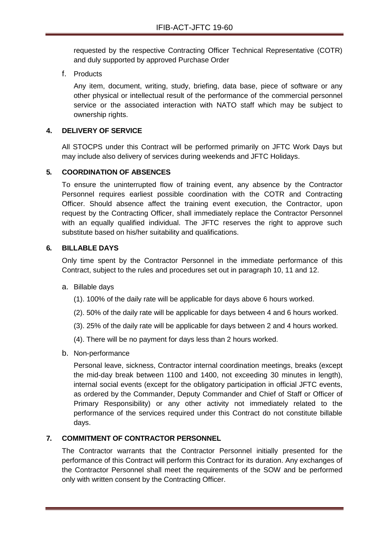requested by the respective Contracting Officer Technical Representative (COTR) and duly supported by approved Purchase Order

f. Products

Any item, document, writing, study, briefing, data base, piece of software or any other physical or intellectual result of the performance of the commercial personnel service or the associated interaction with NATO staff which may be subject to ownership rights.

#### **4. DELIVERY OF SERVICE**

All STOCPS under this Contract will be performed primarily on JFTC Work Days but may include also delivery of services during weekends and JFTC Holidays.

### **5. COORDINATION OF ABSENCES**

To ensure the uninterrupted flow of training event, any absence by the Contractor Personnel requires earliest possible coordination with the COTR and Contracting Officer. Should absence affect the training event execution, the Contractor, upon request by the Contracting Officer, shall immediately replace the Contractor Personnel with an equally qualified individual. The JFTC reserves the right to approve such substitute based on his/her suitability and qualifications.

#### **6. BILLABLE DAYS**

Only time spent by the Contractor Personnel in the immediate performance of this Contract, subject to the rules and procedures set out in paragraph 10, 11 and 12.

- a. Billable days
	- (1). 100% of the daily rate will be applicable for days above 6 hours worked.
	- (2). 50% of the daily rate will be applicable for days between 4 and 6 hours worked.
	- (3). 25% of the daily rate will be applicable for days between 2 and 4 hours worked.
	- (4). There will be no payment for days less than 2 hours worked.
- b. Non-performance

Personal leave, sickness, Contractor internal coordination meetings, breaks (except the mid-day break between 1100 and 1400, not exceeding 30 minutes in length), internal social events (except for the obligatory participation in official JFTC events, as ordered by the Commander, Deputy Commander and Chief of Staff or Officer of Primary Responsibility) or any other activity not immediately related to the performance of the services required under this Contract do not constitute billable days.

#### **7. COMMITMENT OF CONTRACTOR PERSONNEL**

The Contractor warrants that the Contractor Personnel initially presented for the performance of this Contract will perform this Contract for its duration. Any exchanges of the Contractor Personnel shall meet the requirements of the SOW and be performed only with written consent by the Contracting Officer.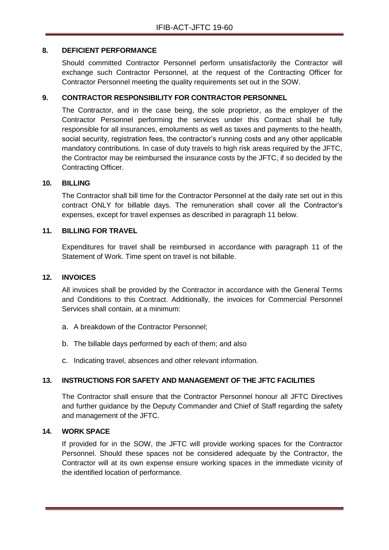#### **8. DEFICIENT PERFORMANCE**

Should committed Contractor Personnel perform unsatisfactorily the Contractor will exchange such Contractor Personnel, at the request of the Contracting Officer for Contractor Personnel meeting the quality requirements set out in the SOW.

# **9. CONTRACTOR RESPONSIBILITY FOR CONTRACTOR PERSONNEL**

The Contractor, and in the case being, the sole proprietor, as the employer of the Contractor Personnel performing the services under this Contract shall be fully responsible for all insurances, emoluments as well as taxes and payments to the health, social security, registration fees, the contractor's running costs and any other applicable mandatory contributions. In case of duty travels to high risk areas required by the JFTC, the Contractor may be reimbursed the insurance costs by the JFTC, if so decided by the Contracting Officer.

#### **10. BILLING**

The Contractor shall bill time for the Contractor Personnel at the daily rate set out in this contract ONLY for billable days. The remuneration shall cover all the Contractor's expenses, except for travel expenses as described in paragraph 11 below.

#### **11. BILLING FOR TRAVEL**

Expenditures for travel shall be reimbursed in accordance with paragraph 11 of the Statement of Work. Time spent on travel is not billable.

#### **12. INVOICES**

All invoices shall be provided by the Contractor in accordance with the General Terms and Conditions to this Contract. Additionally, the invoices for Commercial Personnel Services shall contain, at a minimum:

- a. A breakdown of the Contractor Personnel;
- b. The billable days performed by each of them; and also
- c. Indicating travel, absences and other relevant information.

# **13. INSTRUCTIONS FOR SAFETY AND MANAGEMENT OF THE JFTC FACILITIES**

The Contractor shall ensure that the Contractor Personnel honour all JFTC Directives and further guidance by the Deputy Commander and Chief of Staff regarding the safety and management of the JFTC.

#### **14. WORK SPACE**

If provided for in the SOW, the JFTC will provide working spaces for the Contractor Personnel. Should these spaces not be considered adequate by the Contractor, the Contractor will at its own expense ensure working spaces in the immediate vicinity of the identified location of performance.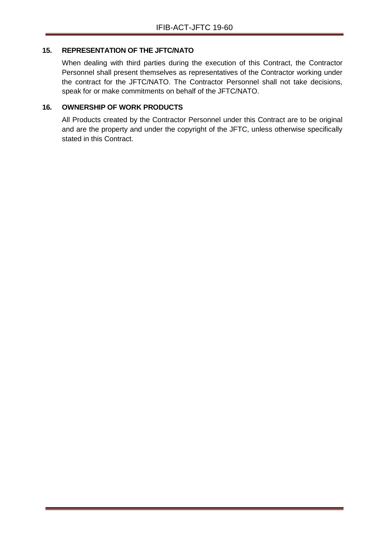#### **15. REPRESENTATION OF THE JFTC/NATO**

When dealing with third parties during the execution of this Contract, the Contractor Personnel shall present themselves as representatives of the Contractor working under the contract for the JFTC/NATO. The Contractor Personnel shall not take decisions, speak for or make commitments on behalf of the JFTC/NATO.

# **16. OWNERSHIP OF WORK PRODUCTS**

All Products created by the Contractor Personnel under this Contract are to be original and are the property and under the copyright of the JFTC, unless otherwise specifically stated in this Contract.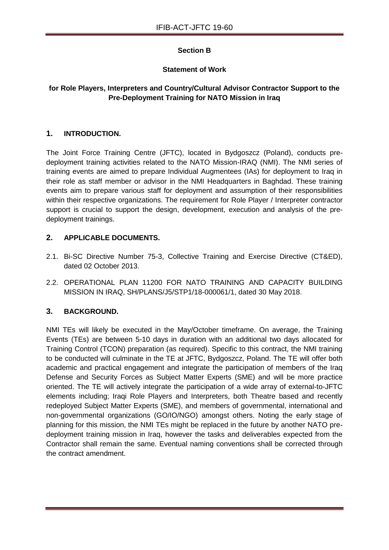# **Section B**

#### **Statement of Work**

### **for Role Players, Interpreters and Country/Cultural Advisor Contractor Support to the Pre-Deployment Training for NATO Mission in Iraq**

#### **1. INTRODUCTION.**

The Joint Force Training Centre (JFTC), located in Bydgoszcz (Poland), conducts predeployment training activities related to the NATO Mission-IRAQ (NMI). The NMI series of training events are aimed to prepare Individual Augmentees (IAs) for deployment to Iraq in their role as staff member or advisor in the NMI Headquarters in Baghdad. These training events aim to prepare various staff for deployment and assumption of their responsibilities within their respective organizations. The requirement for Role Player / Interpreter contractor support is crucial to support the design, development, execution and analysis of the predeployment trainings.

### **2. APPLICABLE DOCUMENTS.**

- 2.1. Bi-SC Directive Number 75-3, Collective Training and Exercise Directive (CT&ED), dated 02 October 2013.
- 2.2. OPERATIONAL PLAN 11200 FOR NATO TRAINING AND CAPACITY BUILDING MISSION IN IRAQ, SH/PLANS/J5/STP1/18-000061/1, dated 30 May 2018.

# **3. BACKGROUND.**

NMI TEs will likely be executed in the May/October timeframe. On average, the Training Events (TEs) are between 5-10 days in duration with an additional two days allocated for Training Control (TCON) preparation (as required). Specific to this contract, the NMI training to be conducted will culminate in the TE at JFTC, Bydgoszcz, Poland. The TE will offer both academic and practical engagement and integrate the participation of members of the Iraq Defense and Security Forces as Subject Matter Experts (SME) and will be more practice oriented. The TE will actively integrate the participation of a wide array of external-to-JFTC elements including; Iraqi Role Players and Interpreters, both Theatre based and recently redeployed Subject Matter Experts (SME), and members of governmental, international and non-governmental organizations (GO/IO/NGO) amongst others. Noting the early stage of planning for this mission, the NMI TEs might be replaced in the future by another NATO predeployment training mission in Iraq, however the tasks and deliverables expected from the Contractor shall remain the same. Eventual naming conventions shall be corrected through the contract amendment.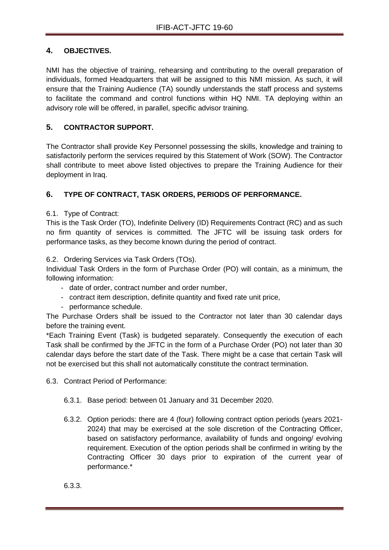# **4. OBJECTIVES.**

NMI has the objective of training, rehearsing and contributing to the overall preparation of individuals, formed Headquarters that will be assigned to this NMI mission. As such, it will ensure that the Training Audience (TA) soundly understands the staff process and systems to facilitate the command and control functions within HQ NMI. TA deploying within an advisory role will be offered, in parallel, specific advisor training.

# **5. CONTRACTOR SUPPORT.**

The Contractor shall provide Key Personnel possessing the skills, knowledge and training to satisfactorily perform the services required by this Statement of Work (SOW). The Contractor shall contribute to meet above listed objectives to prepare the Training Audience for their deployment in Iraq.

# **6. TYPE OF CONTRACT, TASK ORDERS, PERIODS OF PERFORMANCE.**

# 6.1. Type of Contract:

This is the Task Order (TO), Indefinite Delivery (ID) Requirements Contract (RC) and as such no firm quantity of services is committed. The JFTC will be issuing task orders for performance tasks, as they become known during the period of contract.

6.2. Ordering Services via Task Orders (TOs).

Individual Task Orders in the form of Purchase Order (PO) will contain, as a minimum, the following information:

- date of order, contract number and order number,
- contract item description, definite quantity and fixed rate unit price,
- performance schedule.

The Purchase Orders shall be issued to the Contractor not later than 30 calendar days before the training event.

\*Each Training Event (Task) is budgeted separately. Consequently the execution of each Task shall be confirmed by the JFTC in the form of a Purchase Order (PO) not later than 30 calendar days before the start date of the Task. There might be a case that certain Task will not be exercised but this shall not automatically constitute the contract termination.

6.3. Contract Period of Performance:

- 6.3.1. Base period: between 01 January and 31 December 2020.
- 6.3.2. Option periods: there are 4 (four) following contract option periods (years 2021- 2024) that may be exercised at the sole discretion of the Contracting Officer, based on satisfactory performance, availability of funds and ongoing/ evolving requirement. Execution of the option periods shall be confirmed in writing by the Contracting Officer 30 days prior to expiration of the current year of performance.\*

6.3.3.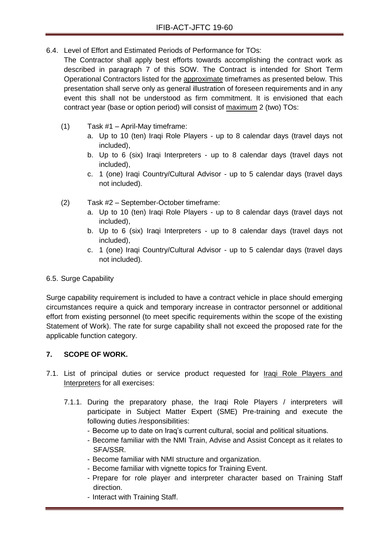6.4. Level of Effort and Estimated Periods of Performance for TOs:

The Contractor shall apply best efforts towards accomplishing the contract work as described in paragraph 7 of this SOW. The Contract is intended for Short Term Operational Contractors listed for the approximate timeframes as presented below. This presentation shall serve only as general illustration of foreseen requirements and in any event this shall not be understood as firm commitment. It is envisioned that each contract year (base or option period) will consist of maximum 2 (two) TOs:

- (1) Task #1 April-May timeframe:
	- a. Up to 10 (ten) Iraqi Role Players up to 8 calendar days (travel days not included),
	- b. Up to 6 (six) Iraqi Interpreters up to 8 calendar days (travel days not included),
	- c. 1 (one) Iraqi Country/Cultural Advisor up to 5 calendar days (travel days not included).
- (2) Task #2 September-October timeframe:
	- a. Up to 10 (ten) Iraqi Role Players up to 8 calendar days (travel days not included),
	- b. Up to 6 (six) Iraqi Interpreters up to 8 calendar days (travel days not included),
	- c. 1 (one) Iraqi Country/Cultural Advisor up to 5 calendar days (travel days not included).

# 6.5. Surge Capability

Surge capability requirement is included to have a contract vehicle in place should emerging circumstances require a quick and temporary increase in contractor personnel or additional effort from existing personnel (to meet specific requirements within the scope of the existing Statement of Work). The rate for surge capability shall not exceed the proposed rate for the applicable function category.

# **7. SCOPE OF WORK.**

- 7.1. List of principal duties or service product requested for Iraqi Role Players and Interpreters for all exercises:
	- 7.1.1. During the preparatory phase, the Iraqi Role Players / interpreters will participate in Subject Matter Expert (SME) Pre-training and execute the following duties /responsibilities:
		- Become up to date on Iraq's current cultural, social and political situations.
		- Become familiar with the NMI Train, Advise and Assist Concept as it relates to SFA/SSR.
		- Become familiar with NMI structure and organization.
		- Become familiar with vignette topics for Training Event.
		- Prepare for role player and interpreter character based on Training Staff direction.
		- Interact with Training Staff.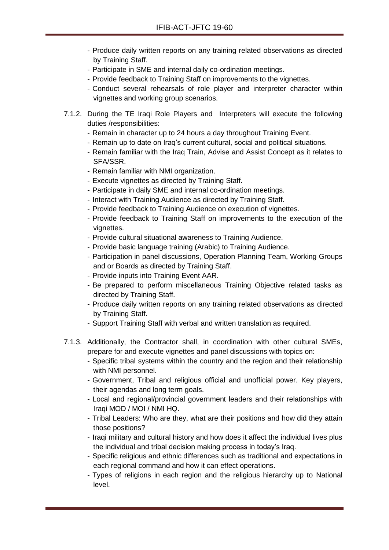- Produce daily written reports on any training related observations as directed by Training Staff.
- Participate in SME and internal daily co-ordination meetings.
- Provide feedback to Training Staff on improvements to the vignettes.
- Conduct several rehearsals of role player and interpreter character within vignettes and working group scenarios.
- 7.1.2. During the TE Iraqi Role Players and Interpreters will execute the following duties /responsibilities:
	- Remain in character up to 24 hours a day throughout Training Event.
	- Remain up to date on Iraq's current cultural, social and political situations.
	- Remain familiar with the Iraq Train, Advise and Assist Concept as it relates to SFA/SSR.
	- Remain familiar with NMI organization.
	- Execute vignettes as directed by Training Staff.
	- Participate in daily SME and internal co-ordination meetings.
	- Interact with Training Audience as directed by Training Staff.
	- Provide feedback to Training Audience on execution of vignettes.
	- Provide feedback to Training Staff on improvements to the execution of the vignettes.
	- Provide cultural situational awareness to Training Audience.
	- Provide basic language training (Arabic) to Training Audience.
	- Participation in panel discussions, Operation Planning Team, Working Groups and or Boards as directed by Training Staff.
	- Provide inputs into Training Event AAR.
	- Be prepared to perform miscellaneous Training Objective related tasks as directed by Training Staff.
	- Produce daily written reports on any training related observations as directed by Training Staff.
	- Support Training Staff with verbal and written translation as required.
- 7.1.3. Additionally, the Contractor shall, in coordination with other cultural SMEs, prepare for and execute vignettes and panel discussions with topics on:
	- Specific tribal systems within the country and the region and their relationship with NMI personnel.
	- Government, Tribal and religious official and unofficial power. Key players, their agendas and long term goals.
	- Local and regional/provincial government leaders and their relationships with Iraqi MOD / MOI / NMI HQ.
	- Tribal Leaders: Who are they, what are their positions and how did they attain those positions?
	- Iraqi military and cultural history and how does it affect the individual lives plus the individual and tribal decision making process in today's Iraq.
	- Specific religious and ethnic differences such as traditional and expectations in each regional command and how it can effect operations.
	- Types of religions in each region and the religious hierarchy up to National level.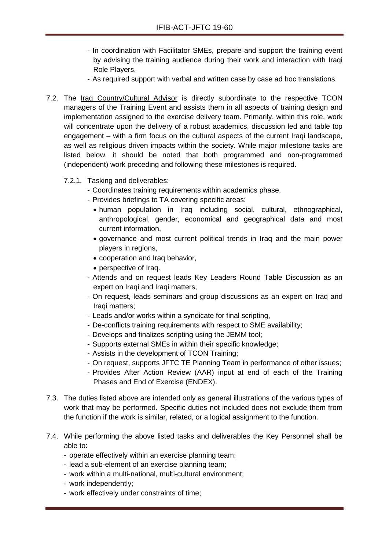- In coordination with Facilitator SMEs, prepare and support the training event by advising the training audience during their work and interaction with Iraqi Role Players.
- As required support with verbal and written case by case ad hoc translations.
- 7.2. The Iraq Country/Cultural Advisor is directly subordinate to the respective TCON managers of the Training Event and assists them in all aspects of training design and implementation assigned to the exercise delivery team. Primarily, within this role, work will concentrate upon the delivery of a robust academics, discussion led and table top engagement – with a firm focus on the cultural aspects of the current Iraqi landscape, as well as religious driven impacts within the society. While major milestone tasks are listed below, it should be noted that both programmed and non-programmed (independent) work preceding and following these milestones is required.
	- 7.2.1. Tasking and deliverables:
		- Coordinates training requirements within academics phase,
		- Provides briefings to TA covering specific areas:
			- human population in Iraq including social, cultural, ethnographical, anthropological, gender, economical and geographical data and most current information,
			- governance and most current political trends in Iraq and the main power players in regions,
			- cooperation and Iraq behavior,
			- perspective of Iraq.
		- Attends and on request leads Key Leaders Round Table Discussion as an expert on Iraqi and Iraqi matters,
		- On request, leads seminars and group discussions as an expert on Iraq and Iraqi matters;
		- Leads and/or works within a syndicate for final scripting,
		- De-conflicts training requirements with respect to SME availability;
		- Develops and finalizes scripting using the JEMM tool;
		- Supports external SMEs in within their specific knowledge;
		- Assists in the development of TCON Training;
		- On request, supports JFTC TE Planning Team in performance of other issues;
		- Provides After Action Review (AAR) input at end of each of the Training Phases and End of Exercise (ENDEX).
- 7.3. The duties listed above are intended only as general illustrations of the various types of work that may be performed. Specific duties not included does not exclude them from the function if the work is similar, related, or a logical assignment to the function.
- 7.4. While performing the above listed tasks and deliverables the Key Personnel shall be able to:
	- operate effectively within an exercise planning team;
	- lead a sub-element of an exercise planning team;
	- work within a multi-national, multi-cultural environment;
	- work independently;
	- work effectively under constraints of time;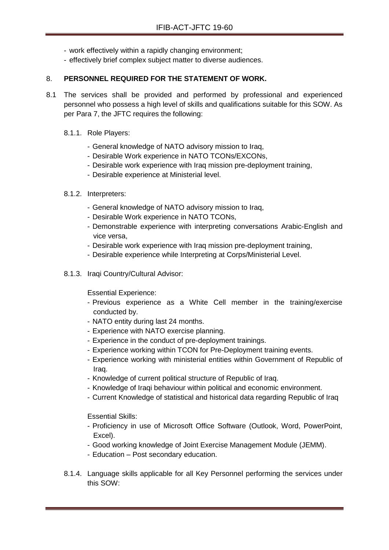- work effectively within a rapidly changing environment;
- effectively brief complex subject matter to diverse audiences.

# 8. **PERSONNEL REQUIRED FOR THE STATEMENT OF WORK.**

- 8.1 The services shall be provided and performed by professional and experienced personnel who possess a high level of skills and qualifications suitable for this SOW. As per Para 7, the JFTC requires the following:
	- 8.1.1. Role Players:
		- General knowledge of NATO advisory mission to Iraq,
		- Desirable Work experience in NATO TCONs/EXCONs,
		- Desirable work experience with Iraq mission pre-deployment training,
		- Desirable experience at Ministerial level.
	- 8.1.2. Interpreters:
		- General knowledge of NATO advisory mission to Iraq,
		- Desirable Work experience in NATO TCONs,
		- Demonstrable experience with interpreting conversations Arabic-English and vice versa,
		- Desirable work experience with Iraq mission pre-deployment training,
		- Desirable experience while Interpreting at Corps/Ministerial Level.
	- 8.1.3. Iraqi Country/Cultural Advisor:

Essential Experience:

- Previous experience as a White Cell member in the training/exercise conducted by.
- NATO entity during last 24 months.
- Experience with NATO exercise planning.
- Experience in the conduct of pre-deployment trainings.
- Experience working within TCON for Pre-Deployment training events.
- Experience working with ministerial entities within Government of Republic of Iraq.
- Knowledge of current political structure of Republic of Iraq.
- Knowledge of Iraqi behaviour within political and economic environment.
- Current Knowledge of statistical and historical data regarding Republic of Iraq

Essential Skills:

- Proficiency in use of Microsoft Office Software (Outlook, Word, PowerPoint, Excel).
- Good working knowledge of Joint Exercise Management Module (JEMM).
- Education Post secondary education.
- 8.1.4. Language skills applicable for all Key Personnel performing the services under this SOW: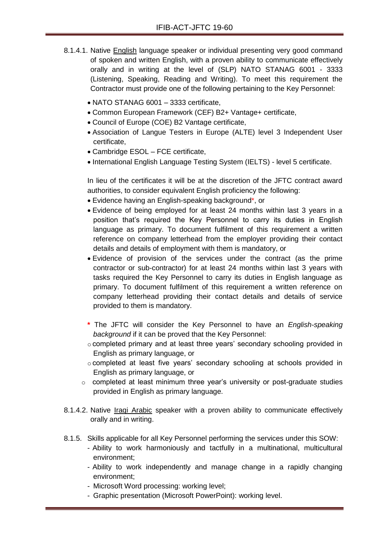- 8.1.4.1. Native English language speaker or individual presenting very good command of spoken and written English, with a proven ability to communicate effectively orally and in writing at the level of (SLP) NATO STANAG 6001 - 3333 (Listening, Speaking, Reading and Writing). To meet this requirement the Contractor must provide one of the following pertaining to the Key Personnel:
	- NATO STANAG 6001 3333 certificate,
	- Common European Framework (CEF) B2+ Vantage+ certificate,
	- Council of Europe (COE) B2 Vantage certificate,
	- Association of Langue Testers in Europe (ALTE) level 3 Independent User certificate,
	- Cambridge ESOL FCE certificate,
	- International English Language Testing System (IELTS) level 5 certificate.

In lieu of the certificates it will be at the discretion of the JFTC contract award authorities, to consider equivalent English proficiency the following:

- Evidence having an English-speaking background\*, or
- Evidence of being employed for at least 24 months within last 3 years in a position that's required the Key Personnel to carry its duties in English language as primary. To document fulfilment of this requirement a written reference on company letterhead from the employer providing their contact details and details of employment with them is mandatory, or
- Evidence of provision of the services under the contract (as the prime contractor or sub-contractor) for at least 24 months within last 3 years with tasks required the Key Personnel to carry its duties in English language as primary. To document fulfilment of this requirement a written reference on company letterhead providing their contact details and details of service provided to them is mandatory.
- **\*** The JFTC will consider the Key Personnel to have an *English-speaking background* if it can be proved that the Key Personnel:
- o completed primary and at least three years' secondary schooling provided in English as primary language, or
- o completed at least five years' secondary schooling at schools provided in English as primary language, or
- o completed at least minimum three year's university or post-graduate studies provided in English as primary language.
- 8.1.4.2. Native Iraqi Arabic speaker with a proven ability to communicate effectively orally and in writing.
- 8.1.5. Skills applicable for all Key Personnel performing the services under this SOW:
	- Ability to work harmoniously and tactfully in a multinational, multicultural environment;
	- Ability to work independently and manage change in a rapidly changing environment;
	- Microsoft Word processing: working level;
	- Graphic presentation (Microsoft PowerPoint): working level.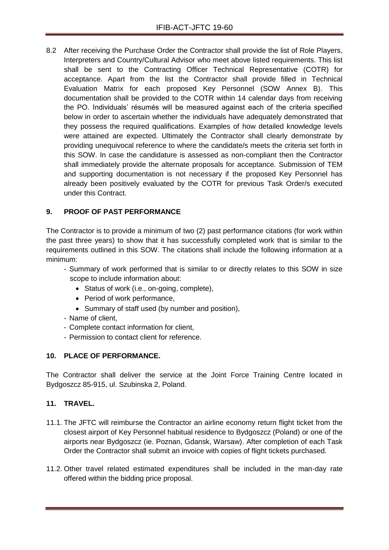8.2 After receiving the Purchase Order the Contractor shall provide the list of Role Players, Interpreters and Country/Cultural Advisor who meet above listed requirements. This list shall be sent to the Contracting Officer Technical Representative (COTR) for acceptance. Apart from the list the Contractor shall provide filled in Technical Evaluation Matrix for each proposed Key Personnel (SOW Annex B). This documentation shall be provided to the COTR within 14 calendar days from receiving the PO. Individuals' résumés will be measured against each of the criteria specified below in order to ascertain whether the individuals have adequately demonstrated that they possess the required qualifications. Examples of how detailed knowledge levels were attained are expected. Ultimately the Contractor shall clearly demonstrate by providing unequivocal reference to where the candidate/s meets the criteria set forth in this SOW. In case the candidature is assessed as non-compliant then the Contractor shall immediately provide the alternate proposals for acceptance. Submission of TEM and supporting documentation is not necessary if the proposed Key Personnel has already been positively evaluated by the COTR for previous Task Order/s executed under this Contract.

# **9. PROOF OF PAST PERFORMANCE**

The Contractor is to provide a minimum of two (2) past performance citations (for work within the past three years) to show that it has successfully completed work that is similar to the requirements outlined in this SOW. The citations shall include the following information at a minimum:

- Summary of work performed that is similar to or directly relates to this SOW in size scope to include information about:
	- Status of work (i.e., on-going, complete),
	- Period of work performance,
	- Summary of staff used (by number and position),
- Name of client,
- Complete contact information for client,
- Permission to contact client for reference.

# **10. PLACE OF PERFORMANCE.**

The Contractor shall deliver the service at the Joint Force Training Centre located in Bydgoszcz 85-915, ul. Szubinska 2, Poland.

# **11. TRAVEL.**

- 11.1. The JFTC will reimburse the Contractor an airline economy return flight ticket from the closest airport of Key Personnel habitual residence to Bydgoszcz (Poland) or one of the airports near Bydgoszcz (ie. Poznan, Gdansk, Warsaw). After completion of each Task Order the Contractor shall submit an invoice with copies of flight tickets purchased.
- 11.2. Other travel related estimated expenditures shall be included in the man-day rate offered within the bidding price proposal.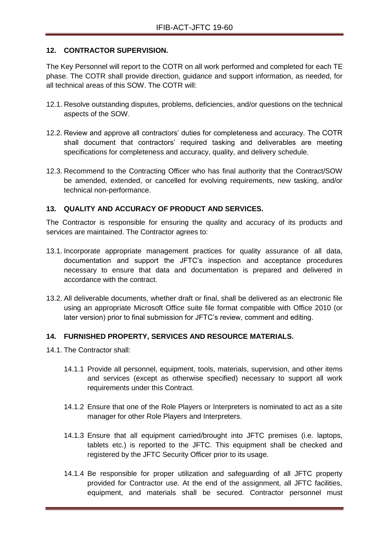# **12. CONTRACTOR SUPERVISION.**

The Key Personnel will report to the COTR on all work performed and completed for each TE phase. The COTR shall provide direction, guidance and support information, as needed, for all technical areas of this SOW. The COTR will:

- 12.1. Resolve outstanding disputes, problems, deficiencies, and/or questions on the technical aspects of the SOW.
- 12.2. Review and approve all contractors' duties for completeness and accuracy. The COTR shall document that contractors' required tasking and deliverables are meeting specifications for completeness and accuracy, quality, and delivery schedule.
- 12.3. Recommend to the Contracting Officer who has final authority that the Contract/SOW be amended, extended, or cancelled for evolving requirements, new tasking, and/or technical non-performance.

### **13. QUALITY AND ACCURACY OF PRODUCT AND SERVICES.**

The Contractor is responsible for ensuring the quality and accuracy of its products and services are maintained. The Contractor agrees to:

- 13.1. Incorporate appropriate management practices for quality assurance of all data, documentation and support the JFTC's inspection and acceptance procedures necessary to ensure that data and documentation is prepared and delivered in accordance with the contract.
- 13.2. All deliverable documents, whether draft or final, shall be delivered as an electronic file using an appropriate Microsoft Office suite file format compatible with Office 2010 (or later version) prior to final submission for JFTC's review, comment and editing.

#### **14. FURNISHED PROPERTY, SERVICES AND RESOURCE MATERIALS.**

- 14.1. The Contractor shall:
	- 14.1.1 Provide all personnel, equipment, tools, materials, supervision, and other items and services (except as otherwise specified) necessary to support all work requirements under this Contract.
	- 14.1.2 Ensure that one of the Role Players or Interpreters is nominated to act as a site manager for other Role Players and Interpreters.
	- 14.1.3 Ensure that all equipment carried/brought into JFTC premises (i.e. laptops, tablets etc.) is reported to the JFTC. This equipment shall be checked and registered by the JFTC Security Officer prior to its usage.
	- 14.1.4 Be responsible for proper utilization and safeguarding of all JFTC property provided for Contractor use. At the end of the assignment, all JFTC facilities, equipment, and materials shall be secured. Contractor personnel must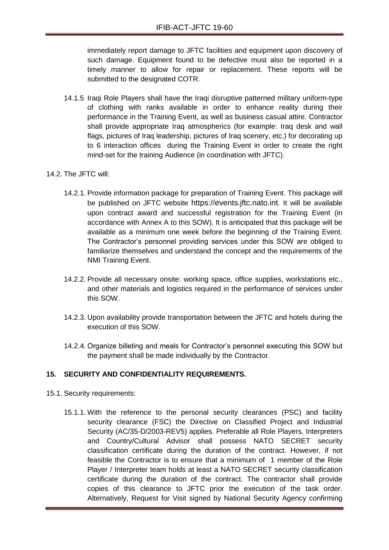immediately report damage to JFTC facilities and equipment upon discovery of such damage. Equipment found to be defective must also be reported in a timely manner to allow for repair or replacement. These reports will be submitted to the designated COTR.

14.1.5 Iraqi Role Players shall have the Iraqi disruptive patterned military uniform-type of clothing with ranks available in order to enhance reality during their performance in the Training Event, as well as business casual attire. Contractor shall provide appropriate Iraq atmospherics (for example: Iraq desk and wall flags, pictures of Iraq leadership, pictures of Iraq scenery, etc.) for decorating up to 6 interaction offices during the Training Event in order to create the right mind-set for the training Audience (in coordination with JFTC).

#### 14.2. The JFTC will:

- 14.2.1. Provide information package for preparation of Training Event. This package will be published on JFTC website [https://events.jftc.nato.int](https://events.jftc.nato.int/). It will be available upon contract award and successful registration for the Training Event (in accordance with Annex A to this SOW). It is anticipated that this package will be available as a minimum one week before the beginning of the Training Event. The Contractor's personnel providing services under this SOW are obliged to familiarize themselves and understand the concept and the requirements of the NMI Training Event.
- 14.2.2. Provide all necessary onsite: working space, office supplies, workstations etc., and other materials and logistics required in the performance of services under this SOW.
- 14.2.3. Upon availability provide transportation between the JFTC and hotels during the execution of this SOW.
- 14.2.4. Organize billeting and meals for Contractor's personnel executing this SOW but the payment shall be made individually by the Contractor.

# **15. SECURITY AND CONFIDENTIALITY REQUIREMENTS.**

- 15.1. Security requirements:
	- 15.1.1. With the reference to the personal security clearances (PSC) and facility security clearance (FSC) the Directive on Classified Project and Industrial Security (AC/35-D/2003-REV5) applies. Preferable all Role Players, Interpreters and Country/Cultural Advisor shall possess NATO SECRET security classification certificate during the duration of the contract. However, if not feasible the Contractor is to ensure that a minimum of 1 member of the Role Player / Interpreter team holds at least a NATO SECRET security classification certificate during the duration of the contract. The contractor shall provide copies of this clearance to JFTC prior the execution of the task order. Alternatively, Request for Visit signed by National Security Agency confirming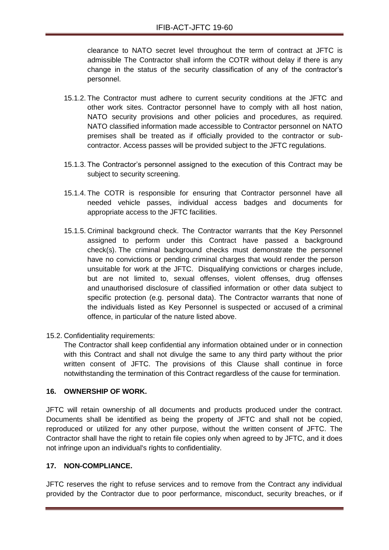clearance to NATO secret level throughout the term of contract at JFTC is admissible The Contractor shall inform the COTR without delay if there is any change in the status of the security classification of any of the contractor's personnel.

- 15.1.2. The Contractor must adhere to current security conditions at the JFTC and other work sites. Contractor personnel have to comply with all host nation, NATO security provisions and other policies and procedures, as required. NATO classified information made accessible to Contractor personnel on NATO premises shall be treated as if officially provided to the contractor or subcontractor. Access passes will be provided subject to the JFTC regulations.
- 15.1.3. The Contractor's personnel assigned to the execution of this Contract may be subject to security screening.
- 15.1.4. The COTR is responsible for ensuring that Contractor personnel have all needed vehicle passes, individual access badges and documents for appropriate access to the JFTC facilities.
- 15.1.5. Criminal background check. The Contractor warrants that the Key Personnel assigned to perform under this Contract have passed a background check(s). The criminal background checks must demonstrate the personnel have no convictions or pending criminal charges that would render the person unsuitable for work at the JFTC. Disqualifying convictions or charges include, but are not limited to, sexual offenses, violent offenses, drug offenses and unauthorised disclosure of classified information or other data subject to specific protection (e.g. personal data). The Contractor warrants that none of the individuals listed as Key Personnel is suspected or accused of a criminal offence, in particular of the nature listed above.
- 15.2. Confidentiality requirements:

The Contractor shall keep confidential any information obtained under or in connection with this Contract and shall not divulge the same to any third party without the prior written consent of JFTC. The provisions of this Clause shall continue in force notwithstanding the termination of this Contract regardless of the cause for termination.

#### **16. OWNERSHIP OF WORK.**

JFTC will retain ownership of all documents and products produced under the contract. Documents shall be identified as being the property of JFTC and shall not be copied, reproduced or utilized for any other purpose, without the written consent of JFTC. The Contractor shall have the right to retain file copies only when agreed to by JFTC, and it does not infringe upon an individual's rights to confidentiality.

#### **17. NON-COMPLIANCE.**

JFTC reserves the right to refuse services and to remove from the Contract any individual provided by the Contractor due to poor performance, misconduct, security breaches, or if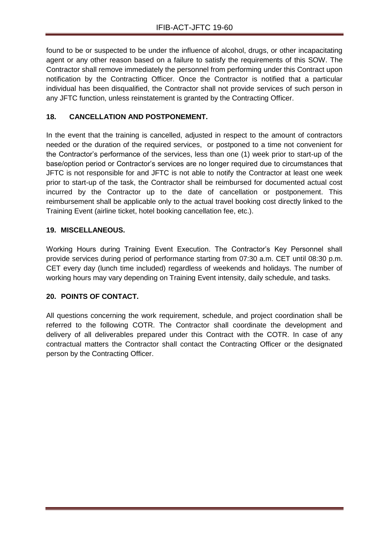found to be or suspected to be under the influence of alcohol, drugs, or other incapacitating agent or any other reason based on a failure to satisfy the requirements of this SOW. The Contractor shall remove immediately the personnel from performing under this Contract upon notification by the Contracting Officer. Once the Contractor is notified that a particular individual has been disqualified, the Contractor shall not provide services of such person in any JFTC function, unless reinstatement is granted by the Contracting Officer.

# **18. CANCELLATION AND POSTPONEMENT.**

In the event that the training is cancelled, adjusted in respect to the amount of contractors needed or the duration of the required services, or postponed to a time not convenient for the Contractor's performance of the services, less than one (1) week prior to start-up of the base/option period or Contractor's services are no longer required due to circumstances that JFTC is not responsible for and JFTC is not able to notify the Contractor at least one week prior to start-up of the task, the Contractor shall be reimbursed for documented actual cost incurred by the Contractor up to the date of cancellation or postponement. This reimbursement shall be applicable only to the actual travel booking cost directly linked to the Training Event (airline ticket, hotel booking cancellation fee, etc.).

# **19. MISCELLANEOUS.**

Working Hours during Training Event Execution. The Contractor's Key Personnel shall provide services during period of performance starting from 07:30 a.m. CET until 08:30 p.m. CET every day (lunch time included) regardless of weekends and holidays. The number of working hours may vary depending on Training Event intensity, daily schedule, and tasks.

# **20. POINTS OF CONTACT.**

All questions concerning the work requirement, schedule, and project coordination shall be referred to the following COTR. The Contractor shall coordinate the development and delivery of all deliverables prepared under this Contract with the COTR. In case of any contractual matters the Contractor shall contact the Contracting Officer or the designated person by the Contracting Officer.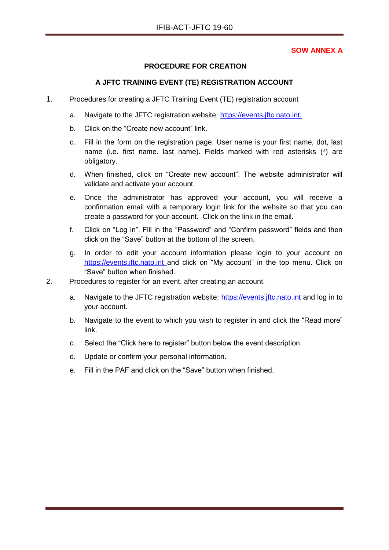### **SOW ANNEX A**

### **PROCEDURE FOR CREATION**

### **A JFTC TRAINING EVENT (TE) REGISTRATION ACCOUNT**

- 1. Procedures for creating a JFTC Training Event (TE) registration account
	- a. Navigate to the JFTC registration website: [https://events.jftc.nato.int.](https://events.jftc.nato.int/)
	- b. Click on the "Create new account" link.
	- c. Fill in the form on the registration page. User name is your first name, dot, last name (i.e. first name. last name). Fields marked with red asterisks (\*) are obligatory.
	- d. When finished, click on "Create new account". The website administrator will validate and activate your account.
	- e. Once the administrator has approved your account, you will receive a confirmation email with a temporary login link for the website so that you can create a password for your account. Click on the link in the email.
	- f. Click on "Log in". Fill in the "Password" and "Confirm password" fields and then click on the "Save" button at the bottom of the screen.
	- g. In order to edit your account information please login to your account on [https://events.jftc.nato.int](https://events.jftc.nato.int/) and click on "My account" in the top menu. Click on "Save" button when finished.
- 2. Procedures to register for an event, after creating an account.
	- a. Navigate to the JFTC registration website: [https://events.jftc.nato.int](https://events.jftc.nato.int/) and log in to your account.
	- b. Navigate to the event to which you wish to register in and click the "Read more" link.
	- c. Select the "Click here to register" button below the event description.
	- d. Update or confirm your personal information.
	- e. Fill in the PAF and click on the "Save" button when finished.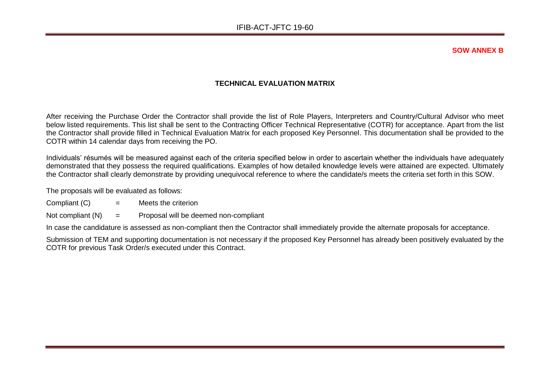**SOW ANNEX B**

### **TECHNICAL EVALUATION MATRIX**

After receiving the Purchase Order the Contractor shall provide the list of Role Players, Interpreters and Country/Cultural Advisor who meet below listed requirements. This list shall be sent to the Contracting Officer Technical Representative (COTR) for acceptance. Apart from the list the Contractor shall provide filled in Technical Evaluation Matrix for each proposed Key Personnel. This documentation shall be provided to the COTR within 14 calendar days from receiving the PO.

Individuals' résumés will be measured against each of the criteria specified below in order to ascertain whether the individuals have adequately demonstrated that they possess the required qualifications. Examples of how detailed knowledge levels were attained are expected. Ultimately the Contractor shall clearly demonstrate by providing unequivocal reference to where the candidate/s meets the criteria set forth in this SOW.

The proposals will be evaluated as follows:

- Compliant  $(C)$  = Meets the criterion
- Not compliant  $(N)$  = Proposal will be deemed non-compliant

In case the candidature is assessed as non-compliant then the Contractor shall immediately provide the alternate proposals for acceptance.

Submission of TEM and supporting documentation is not necessary if the proposed Key Personnel has already been positively evaluated by the COTR for previous Task Order/s executed under this Contract.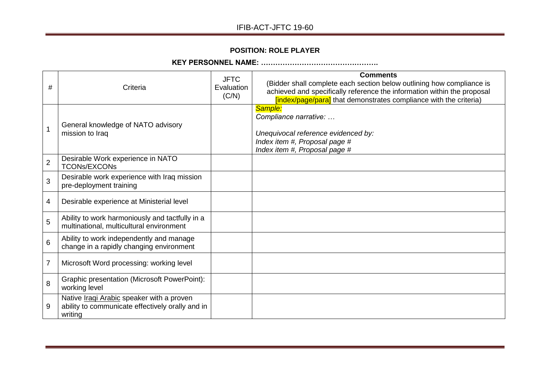# **POSITION: ROLE PLAYER**

# **KEY PERSONNEL NAME: ………………………………………….**

| #              | Criteria                                                                                                        | <b>JFTC</b><br>Evaluation<br>(C/N) | <b>Comments</b><br>(Bidder shall complete each section below outlining how compliance is<br>achieved and specifically reference the information within the proposal<br>[index/page/para] that demonstrates compliance with the criteria) |
|----------------|-----------------------------------------------------------------------------------------------------------------|------------------------------------|------------------------------------------------------------------------------------------------------------------------------------------------------------------------------------------------------------------------------------------|
| 1              | General knowledge of NATO advisory<br>mission to Iraq                                                           |                                    | Sample:<br>Compliance narrative:<br>Unequivocal reference evidenced by:<br>Index item #, Proposal page #<br>Index item #, Proposal page #                                                                                                |
| $\overline{2}$ | Desirable Work experience in NATO<br><b>TCONs/EXCONs</b>                                                        |                                    |                                                                                                                                                                                                                                          |
| 3              | Desirable work experience with Iraq mission<br>pre-deployment training                                          |                                    |                                                                                                                                                                                                                                          |
| 4              | Desirable experience at Ministerial level                                                                       |                                    |                                                                                                                                                                                                                                          |
| 5              | Ability to work harmoniously and tactfully in a<br>multinational, multicultural environment                     |                                    |                                                                                                                                                                                                                                          |
| 6              | Ability to work independently and manage<br>change in a rapidly changing environment                            |                                    |                                                                                                                                                                                                                                          |
| $\overline{7}$ | Microsoft Word processing: working level                                                                        |                                    |                                                                                                                                                                                                                                          |
| 8              | <b>Graphic presentation (Microsoft PowerPoint):</b><br>working level                                            |                                    |                                                                                                                                                                                                                                          |
| 9              | Native <i>Iragi Arabic</i> speaker with a proven<br>ability to communicate effectively orally and in<br>writing |                                    |                                                                                                                                                                                                                                          |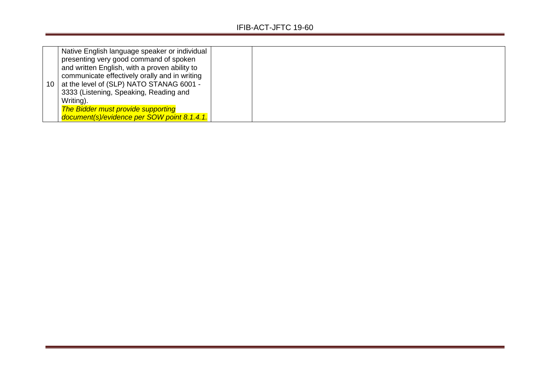|    | Native English language speaker or individual |  |
|----|-----------------------------------------------|--|
|    | presenting very good command of spoken        |  |
|    | and written English, with a proven ability to |  |
|    | communicate effectively orally and in writing |  |
| 10 | at the level of (SLP) NATO STANAG 6001 -      |  |
|    | 3333 (Listening, Speaking, Reading and        |  |
|    | Writing).                                     |  |
|    | <b>The Bidder must provide supporting</b>     |  |
|    | document(s)/evidence per SOW point 8.1.4.1.   |  |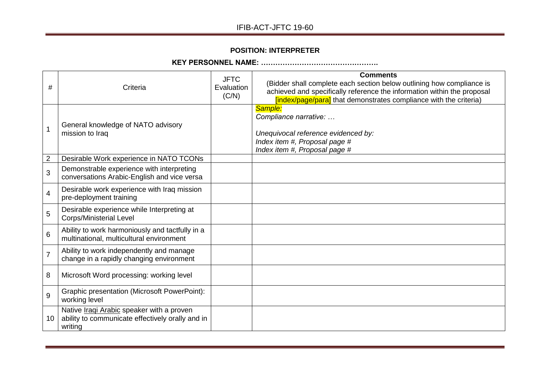# **POSITION: INTERPRETER**

# **KEY PERSONNEL NAME: ………………………………………….**

| #               | Criteria                                                                                                        | <b>JFTC</b><br>Evaluation<br>(C/N) | <b>Comments</b><br>(Bidder shall complete each section below outlining how compliance is<br>achieved and specifically reference the information within the proposal<br>[index/page/para] that demonstrates compliance with the criteria) |
|-----------------|-----------------------------------------------------------------------------------------------------------------|------------------------------------|------------------------------------------------------------------------------------------------------------------------------------------------------------------------------------------------------------------------------------------|
| 1               | General knowledge of NATO advisory<br>mission to Iraq                                                           |                                    | Sample:<br>Compliance narrative:<br>Unequivocal reference evidenced by:<br>Index item #, Proposal page #<br>Index item #, Proposal page #                                                                                                |
| $\overline{c}$  | Desirable Work experience in NATO TCONs                                                                         |                                    |                                                                                                                                                                                                                                          |
| 3               | Demonstrable experience with interpreting<br>conversations Arabic-English and vice versa                        |                                    |                                                                                                                                                                                                                                          |
| 4               | Desirable work experience with Iraq mission<br>pre-deployment training                                          |                                    |                                                                                                                                                                                                                                          |
| 5               | Desirable experience while Interpreting at<br><b>Corps/Ministerial Level</b>                                    |                                    |                                                                                                                                                                                                                                          |
| $6\phantom{1}6$ | Ability to work harmoniously and tactfully in a<br>multinational, multicultural environment                     |                                    |                                                                                                                                                                                                                                          |
| $\overline{7}$  | Ability to work independently and manage<br>change in a rapidly changing environment                            |                                    |                                                                                                                                                                                                                                          |
| 8               | Microsoft Word processing: working level                                                                        |                                    |                                                                                                                                                                                                                                          |
| 9               | <b>Graphic presentation (Microsoft PowerPoint):</b><br>working level                                            |                                    |                                                                                                                                                                                                                                          |
| 10              | Native <i>Iragi Arabic</i> speaker with a proven<br>ability to communicate effectively orally and in<br>writing |                                    |                                                                                                                                                                                                                                          |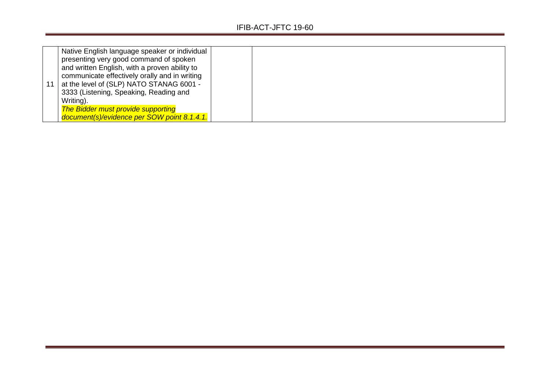| Native English language speaker or individual |  |
|-----------------------------------------------|--|
| presenting very good command of spoken        |  |
| and written English, with a proven ability to |  |
| communicate effectively orally and in writing |  |
| at the level of (SLP) NATO STANAG 6001 -      |  |
| 3333 (Listening, Speaking, Reading and        |  |
| Writing).                                     |  |
| <b>The Bidder must provide supporting</b>     |  |
| document(s)/evidence per SOW point 8.1.4.1.   |  |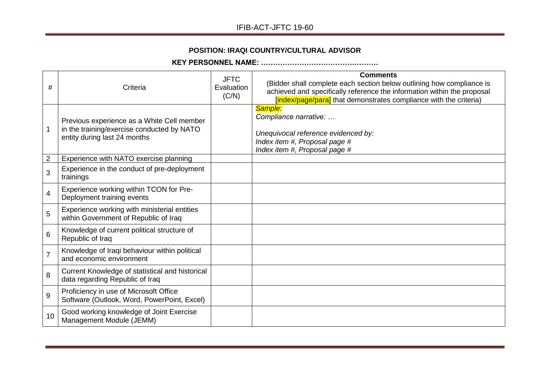# **POSITION: IRAQI COUNTRY/CULTURAL ADVISOR**

**KEY PERSONNEL NAME: ………………………………………….**

| #              | Criteria                                                                                                                 | <b>JFTC</b><br>Evaluation<br>(C/N) | <b>Comments</b><br>(Bidder shall complete each section below outlining how compliance is<br>achieved and specifically reference the information within the proposal<br>[index/page/para] that demonstrates compliance with the criteria) |
|----------------|--------------------------------------------------------------------------------------------------------------------------|------------------------------------|------------------------------------------------------------------------------------------------------------------------------------------------------------------------------------------------------------------------------------------|
| 1              | Previous experience as a White Cell member<br>in the training/exercise conducted by NATO<br>entity during last 24 months |                                    | Sample:<br>Compliance narrative:<br>Unequivocal reference evidenced by:<br>Index item #, Proposal page #<br>Index item #, Proposal page #                                                                                                |
| $\overline{2}$ | Experience with NATO exercise planning                                                                                   |                                    |                                                                                                                                                                                                                                          |
| 3              | Experience in the conduct of pre-deployment<br>trainings                                                                 |                                    |                                                                                                                                                                                                                                          |
| 4              | Experience working within TCON for Pre-<br>Deployment training events                                                    |                                    |                                                                                                                                                                                                                                          |
| 5              | Experience working with ministerial entities<br>within Government of Republic of Iraq                                    |                                    |                                                                                                                                                                                                                                          |
| 6              | Knowledge of current political structure of<br>Republic of Iraq                                                          |                                    |                                                                                                                                                                                                                                          |
| $\overline{7}$ | Knowledge of Iraqi behaviour within political<br>and economic environment                                                |                                    |                                                                                                                                                                                                                                          |
| 8              | Current Knowledge of statistical and historical<br>data regarding Republic of Iraq                                       |                                    |                                                                                                                                                                                                                                          |
| 9              | Proficiency in use of Microsoft Office<br>Software (Outlook, Word, PowerPoint, Excel)                                    |                                    |                                                                                                                                                                                                                                          |
| 10             | Good working knowledge of Joint Exercise<br>Management Module (JEMM)                                                     |                                    |                                                                                                                                                                                                                                          |